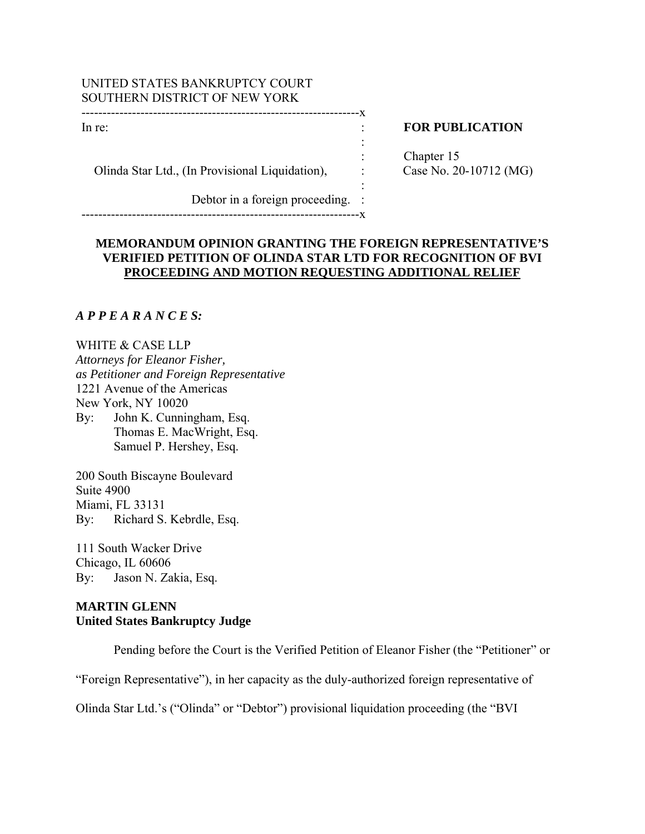## UNITED STATES BANKRUPTCY COURT SOUTHERN DISTRICT OF NEW YORK

------------------------------------------------------------------x

the contract of the contract of the contract of the contract of the contract of the contract of the contract of

Olinda Star Ltd., (In Provisional Liquidation),  $\cdot$ :

Debtor in a foreign proceeding. :

------------------------------------------------------------------x

the contract of the contract of the contract of the contract of the contract of the contract of the contract of

# In re: **In return in the set of the set of the set of the set of the set of the set of the set of the set of the set of the set of the set of the set of the set of the set of the set of the set of the set of the set of the**

Chapter 15<br>Case No. 20-10712 (MG)

# **MEMORANDUM OPINION GRANTING THE FOREIGN REPRESENTATIVE'S VERIFIED PETITION OF OLINDA STAR LTD FOR RECOGNITION OF BVI PROCEEDING AND MOTION REQUESTING ADDITIONAL RELIEF**

:

# *A P P E A R A N C E S:*

WHITE & CASE LLP *Attorneys for Eleanor Fisher, as Petitioner and Foreign Representative*  1221 Avenue of the Americas New York, NY 10020 By: John K. Cunningham, Esq. Thomas E. MacWright, Esq. Samuel P. Hershey, Esq.

200 South Biscayne Boulevard Suite 4900 Miami, FL 33131 By: Richard S. Kebrdle, Esq.

111 South Wacker Drive Chicago, IL 60606 By: Jason N. Zakia, Esq.

# **MARTIN GLENN United States Bankruptcy Judge**

Pending before the Court is the Verified Petition of Eleanor Fisher (the "Petitioner" or

"Foreign Representative"), in her capacity as the duly-authorized foreign representative of

Olinda Star Ltd.'s ("Olinda" or "Debtor") provisional liquidation proceeding (the "BVI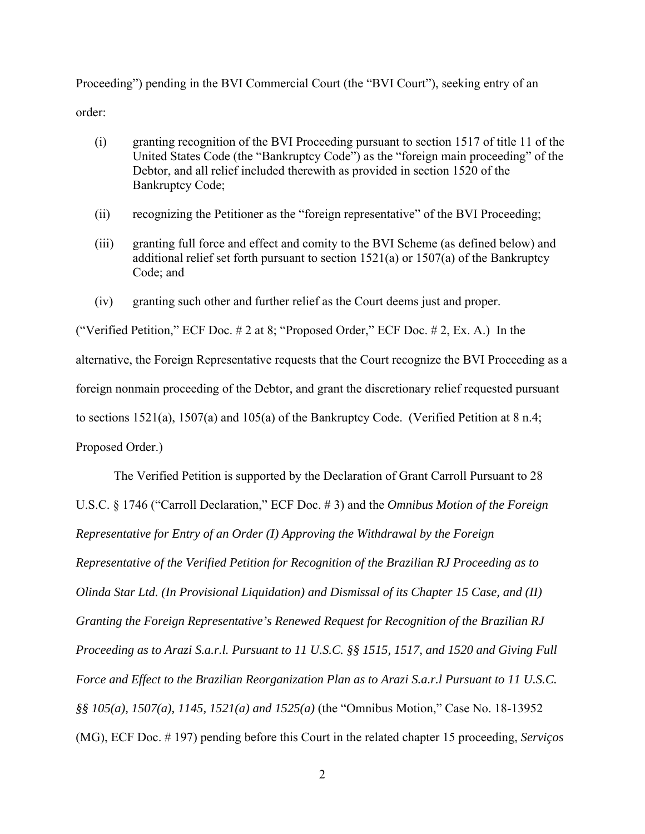Proceeding") pending in the BVI Commercial Court (the "BVI Court"), seeking entry of an order:

- (i) granting recognition of the BVI Proceeding pursuant to section 1517 of title 11 of the United States Code (the "Bankruptcy Code") as the "foreign main proceeding" of the Debtor, and all relief included therewith as provided in section 1520 of the Bankruptcy Code;
- (ii) recognizing the Petitioner as the "foreign representative" of the BVI Proceeding;
- (iii) granting full force and effect and comity to the BVI Scheme (as defined below) and additional relief set forth pursuant to section 1521(a) or 1507(a) of the Bankruptcy Code; and
- (iv) granting such other and further relief as the Court deems just and proper.

("Verified Petition," ECF Doc.  $\# 2$  at 8; "Proposed Order," ECF Doc.  $\# 2$ , Ex. A.) In the alternative, the Foreign Representative requests that the Court recognize the BVI Proceeding as a foreign nonmain proceeding of the Debtor, and grant the discretionary relief requested pursuant to sections 1521(a), 1507(a) and 105(a) of the Bankruptcy Code. (Verified Petition at 8 n.4; Proposed Order.)

The Verified Petition is supported by the Declaration of Grant Carroll Pursuant to 28 U.S.C. § 1746 ("Carroll Declaration," ECF Doc. # 3) and the *Omnibus Motion of the Foreign Representative for Entry of an Order (I) Approving the Withdrawal by the Foreign Representative of the Verified Petition for Recognition of the Brazilian RJ Proceeding as to Olinda Star Ltd. (In Provisional Liquidation) and Dismissal of its Chapter 15 Case, and (II) Granting the Foreign Representative's Renewed Request for Recognition of the Brazilian RJ Proceeding as to Arazi S.a.r.l. Pursuant to 11 U.S.C. §§ 1515, 1517, and 1520 and Giving Full Force and Effect to the Brazilian Reorganization Plan as to Arazi S.a.r.l Pursuant to 11 U.S.C. §§ 105(a), 1507(a), 1145, 1521(a) and 1525(a)* (the "Omnibus Motion," Case No. 18-13952 (MG), ECF Doc. # 197) pending before this Court in the related chapter 15 proceeding, *Serviços*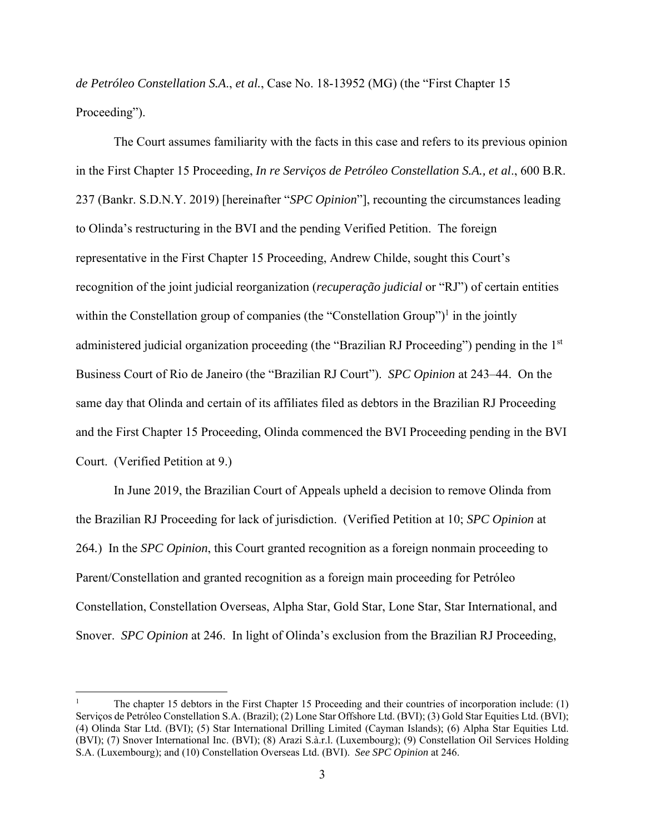*de Petróleo Constellation S.A*., *et al.*, Case No. 18-13952 (MG) (the "First Chapter 15 Proceeding").

The Court assumes familiarity with the facts in this case and refers to its previous opinion in the First Chapter 15 Proceeding, *In re Serviços de Petróleo Constellation S.A., et al*., 600 B.R. 237 (Bankr. S.D.N.Y. 2019) [hereinafter "*SPC Opinion*"], recounting the circumstances leading to Olinda's restructuring in the BVI and the pending Verified Petition. The foreign representative in the First Chapter 15 Proceeding, Andrew Childe, sought this Court's recognition of the joint judicial reorganization (*recuperação judicial* or "RJ") of certain entities within the Constellation group of companies (the "Constellation Group")<sup>1</sup> in the jointly administered judicial organization proceeding (the "Brazilian RJ Proceeding") pending in the 1st Business Court of Rio de Janeiro (the "Brazilian RJ Court"). *SPC Opinion* at 243–44. On the same day that Olinda and certain of its affiliates filed as debtors in the Brazilian RJ Proceeding and the First Chapter 15 Proceeding, Olinda commenced the BVI Proceeding pending in the BVI Court. (Verified Petition at 9.)

 In June 2019, the Brazilian Court of Appeals upheld a decision to remove Olinda from the Brazilian RJ Proceeding for lack of jurisdiction. (Verified Petition at 10; *SPC Opinion* at 264*.*) In the *SPC Opinion*, this Court granted recognition as a foreign nonmain proceeding to Parent/Constellation and granted recognition as a foreign main proceeding for Petróleo Constellation, Constellation Overseas, Alpha Star, Gold Star, Lone Star, Star International, and Snover. *SPC Opinion* at 246. In light of Olinda's exclusion from the Brazilian RJ Proceeding,

<sup>1</sup> The chapter 15 debtors in the First Chapter 15 Proceeding and their countries of incorporation include: (1) Serviços de Petróleo Constellation S.A. (Brazil); (2) Lone Star Offshore Ltd. (BVI); (3) Gold Star Equities Ltd. (BVI); (4) Olinda Star Ltd. (BVI); (5) Star International Drilling Limited (Cayman Islands); (6) Alpha Star Equities Ltd. (BVI); (7) Snover International Inc. (BVI); (8) Arazi S.à.r.l. (Luxembourg); (9) Constellation Oil Services Holding S.A. (Luxembourg); and (10) Constellation Overseas Ltd. (BVI). *See SPC Opinion* at 246.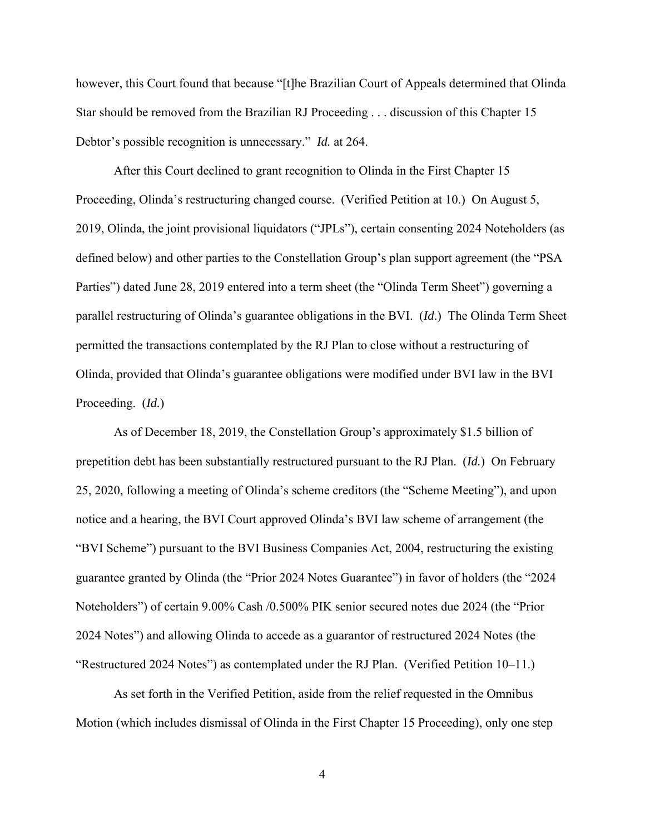however, this Court found that because "[t]he Brazilian Court of Appeals determined that Olinda Star should be removed from the Brazilian RJ Proceeding . . . discussion of this Chapter 15 Debtor's possible recognition is unnecessary." *Id.* at 264.

 After this Court declined to grant recognition to Olinda in the First Chapter 15 Proceeding, Olinda's restructuring changed course. (Verified Petition at 10.) On August 5, 2019, Olinda, the joint provisional liquidators ("JPLs"), certain consenting 2024 Noteholders (as defined below) and other parties to the Constellation Group's plan support agreement (the "PSA Parties") dated June 28, 2019 entered into a term sheet (the "Olinda Term Sheet") governing a parallel restructuring of Olinda's guarantee obligations in the BVI. (*Id*.) The Olinda Term Sheet permitted the transactions contemplated by the RJ Plan to close without a restructuring of Olinda, provided that Olinda's guarantee obligations were modified under BVI law in the BVI Proceeding. (*Id.*)

As of December 18, 2019, the Constellation Group's approximately \$1.5 billion of prepetition debt has been substantially restructured pursuant to the RJ Plan. (*Id.*) On February 25, 2020, following a meeting of Olinda's scheme creditors (the "Scheme Meeting"), and upon notice and a hearing, the BVI Court approved Olinda's BVI law scheme of arrangement (the "BVI Scheme") pursuant to the BVI Business Companies Act, 2004, restructuring the existing guarantee granted by Olinda (the "Prior 2024 Notes Guarantee") in favor of holders (the "2024 Noteholders") of certain 9.00% Cash /0.500% PIK senior secured notes due 2024 (the "Prior 2024 Notes") and allowing Olinda to accede as a guarantor of restructured 2024 Notes (the "Restructured 2024 Notes") as contemplated under the RJ Plan. (Verified Petition 10–11.)

As set forth in the Verified Petition, aside from the relief requested in the Omnibus Motion (which includes dismissal of Olinda in the First Chapter 15 Proceeding), only one step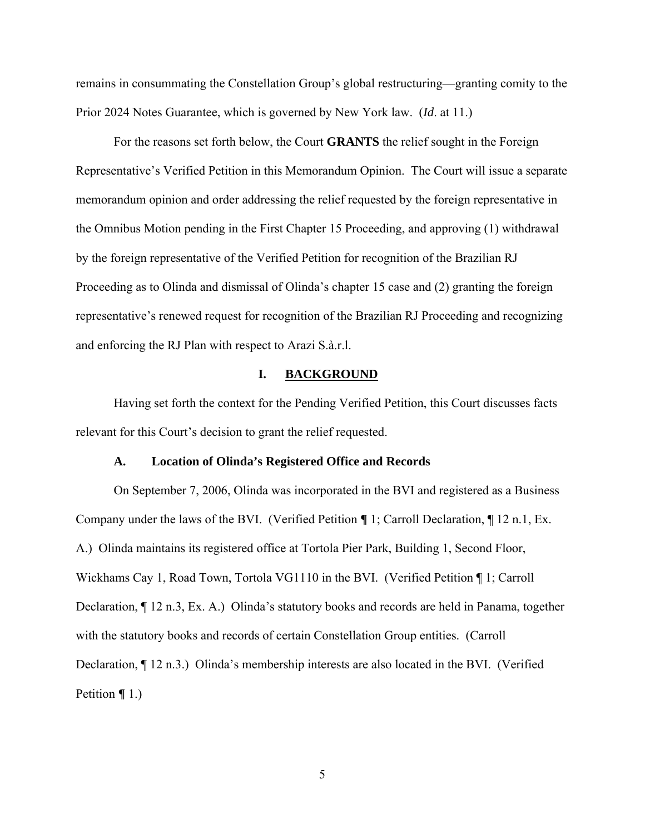remains in consummating the Constellation Group's global restructuring—granting comity to the Prior 2024 Notes Guarantee, which is governed by New York law. (*Id*. at 11.)

 For the reasons set forth below, the Court **GRANTS** the relief sought in the Foreign Representative's Verified Petition in this Memorandum Opinion. The Court will issue a separate memorandum opinion and order addressing the relief requested by the foreign representative in the Omnibus Motion pending in the First Chapter 15 Proceeding, and approving (1) withdrawal by the foreign representative of the Verified Petition for recognition of the Brazilian RJ Proceeding as to Olinda and dismissal of Olinda's chapter 15 case and (2) granting the foreign representative's renewed request for recognition of the Brazilian RJ Proceeding and recognizing and enforcing the RJ Plan with respect to Arazi S.à.r.l.

## **I. BACKGROUND**

 Having set forth the context for the Pending Verified Petition, this Court discusses facts relevant for this Court's decision to grant the relief requested.

#### **A. Location of Olinda's Registered Office and Records**

 On September 7, 2006, Olinda was incorporated in the BVI and registered as a Business Company under the laws of the BVI. (Verified Petition **¶** 1; Carroll Declaration, ¶ 12 n.1, Ex. A.) Olinda maintains its registered office at Tortola Pier Park, Building 1, Second Floor, Wickhams Cay 1, Road Town, Tortola VG1110 in the BVI. (Verified Petition ¶ 1; Carroll Declaration, ¶ 12 n.3, Ex. A.) Olinda's statutory books and records are held in Panama, together with the statutory books and records of certain Constellation Group entities. (Carroll Declaration, ¶ 12 n.3.) Olinda's membership interests are also located in the BVI. (Verified Petition **¶** 1.)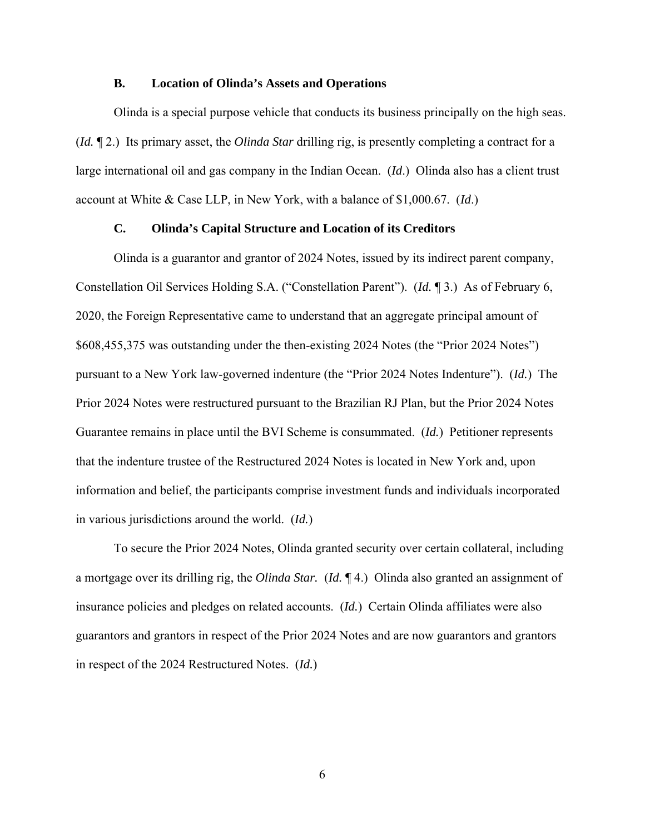#### **B. Location of Olinda's Assets and Operations**

 Olinda is a special purpose vehicle that conducts its business principally on the high seas. (*Id.* ¶ 2.) Its primary asset, the *Olinda Star* drilling rig, is presently completing a contract for a large international oil and gas company in the Indian Ocean. (*Id*.) Olinda also has a client trust account at White & Case LLP, in New York, with a balance of \$1,000.67. (*Id*.)

### **C. Olinda's Capital Structure and Location of its Creditors**

 Olinda is a guarantor and grantor of 2024 Notes, issued by its indirect parent company, Constellation Oil Services Holding S.A. ("Constellation Parent"). (*Id.* ¶ 3.) As of February 6, 2020, the Foreign Representative came to understand that an aggregate principal amount of \$608,455,375 was outstanding under the then-existing 2024 Notes (the "Prior 2024 Notes") pursuant to a New York law-governed indenture (the "Prior 2024 Notes Indenture"). (*Id.*) The Prior 2024 Notes were restructured pursuant to the Brazilian RJ Plan, but the Prior 2024 Notes Guarantee remains in place until the BVI Scheme is consummated. (*Id.*) Petitioner represents that the indenture trustee of the Restructured 2024 Notes is located in New York and, upon information and belief, the participants comprise investment funds and individuals incorporated in various jurisdictions around the world. (*Id.*)

 To secure the Prior 2024 Notes, Olinda granted security over certain collateral, including a mortgage over its drilling rig, the *Olinda Star.* (*Id.* ¶ 4.) Olinda also granted an assignment of insurance policies and pledges on related accounts. (*Id.*) Certain Olinda affiliates were also guarantors and grantors in respect of the Prior 2024 Notes and are now guarantors and grantors in respect of the 2024 Restructured Notes. (*Id.*)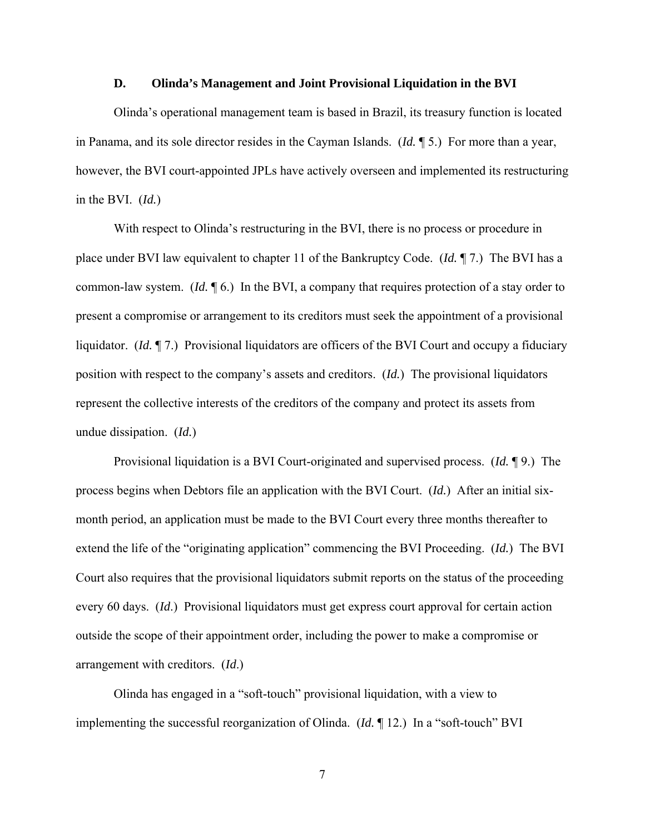#### **D. Olinda's Management and Joint Provisional Liquidation in the BVI**

 Olinda's operational management team is based in Brazil, its treasury function is located in Panama, and its sole director resides in the Cayman Islands. (*Id.* ¶ 5.) For more than a year, however, the BVI court-appointed JPLs have actively overseen and implemented its restructuring in the BVI. (*Id.*)

With respect to Olinda's restructuring in the BVI, there is no process or procedure in place under BVI law equivalent to chapter 11 of the Bankruptcy Code. (*Id.* ¶ 7.) The BVI has a common-law system. (*Id.* ¶ 6.) In the BVI, a company that requires protection of a stay order to present a compromise or arrangement to its creditors must seek the appointment of a provisional liquidator. (*Id.* ¶ 7.) Provisional liquidators are officers of the BVI Court and occupy a fiduciary position with respect to the company's assets and creditors. (*Id.*) The provisional liquidators represent the collective interests of the creditors of the company and protect its assets from undue dissipation. (*Id.*)

 Provisional liquidation is a BVI Court-originated and supervised process. (*Id.* ¶ 9.) The process begins when Debtors file an application with the BVI Court. (*Id.*) After an initial sixmonth period, an application must be made to the BVI Court every three months thereafter to extend the life of the "originating application" commencing the BVI Proceeding. (*Id.*) The BVI Court also requires that the provisional liquidators submit reports on the status of the proceeding every 60 days. (*Id*.) Provisional liquidators must get express court approval for certain action outside the scope of their appointment order, including the power to make a compromise or arrangement with creditors. (*Id*.)

 Olinda has engaged in a "soft-touch" provisional liquidation, with a view to implementing the successful reorganization of Olinda. (*Id.* ¶ 12.) In a "soft-touch" BVI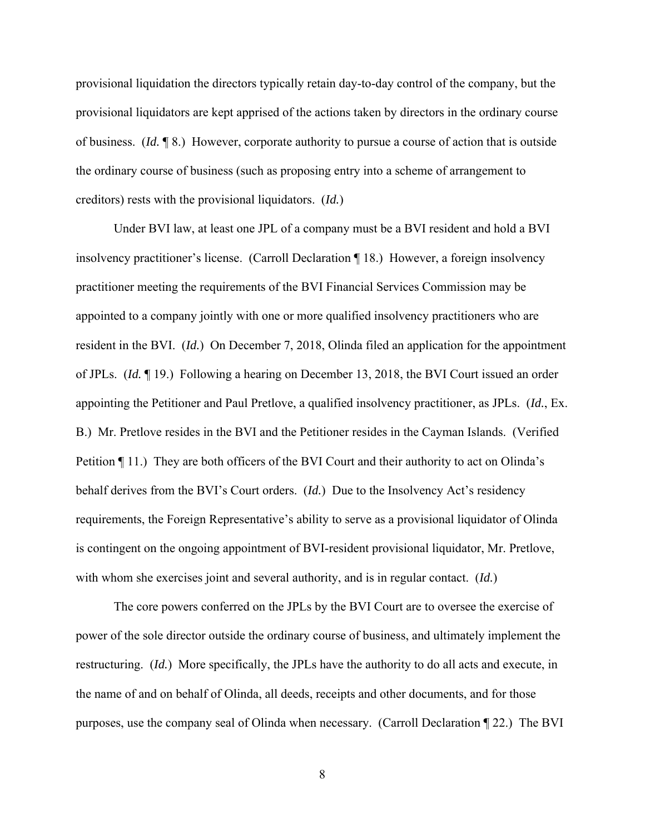provisional liquidation the directors typically retain day-to-day control of the company, but the provisional liquidators are kept apprised of the actions taken by directors in the ordinary course of business. (*Id.* ¶ 8.) However, corporate authority to pursue a course of action that is outside the ordinary course of business (such as proposing entry into a scheme of arrangement to creditors) rests with the provisional liquidators. (*Id.*)

 Under BVI law, at least one JPL of a company must be a BVI resident and hold a BVI insolvency practitioner's license. (Carroll Declaration ¶ 18.) However, a foreign insolvency practitioner meeting the requirements of the BVI Financial Services Commission may be appointed to a company jointly with one or more qualified insolvency practitioners who are resident in the BVI. (*Id.*) On December 7, 2018, Olinda filed an application for the appointment of JPLs. (*Id.* ¶ 19.) Following a hearing on December 13, 2018, the BVI Court issued an order appointing the Petitioner and Paul Pretlove, a qualified insolvency practitioner, as JPLs. (*Id.*, Ex. B.) Mr. Pretlove resides in the BVI and the Petitioner resides in the Cayman Islands. (Verified Petition ¶ 11.) They are both officers of the BVI Court and their authority to act on Olinda's behalf derives from the BVI's Court orders. (*Id.*) Due to the Insolvency Act's residency requirements, the Foreign Representative's ability to serve as a provisional liquidator of Olinda is contingent on the ongoing appointment of BVI-resident provisional liquidator, Mr. Pretlove, with whom she exercises joint and several authority, and is in regular contact. (*Id.*)

 The core powers conferred on the JPLs by the BVI Court are to oversee the exercise of power of the sole director outside the ordinary course of business, and ultimately implement the restructuring. (*Id.*) More specifically, the JPLs have the authority to do all acts and execute, in the name of and on behalf of Olinda, all deeds, receipts and other documents, and for those purposes, use the company seal of Olinda when necessary. (Carroll Declaration ¶ 22.) The BVI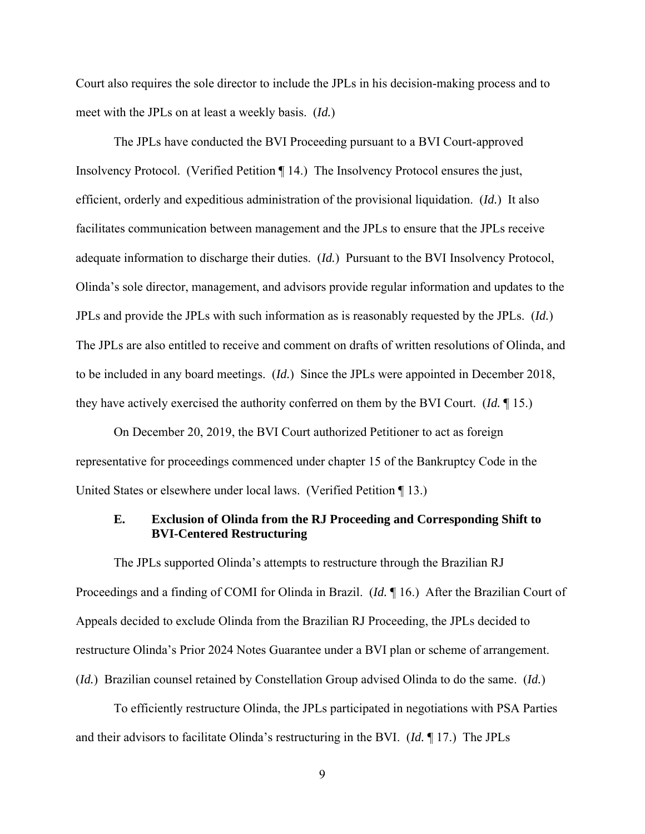Court also requires the sole director to include the JPLs in his decision-making process and to meet with the JPLs on at least a weekly basis. (*Id.*)

 The JPLs have conducted the BVI Proceeding pursuant to a BVI Court-approved Insolvency Protocol. (Verified Petition ¶ 14.) The Insolvency Protocol ensures the just, efficient, orderly and expeditious administration of the provisional liquidation. (*Id.*) It also facilitates communication between management and the JPLs to ensure that the JPLs receive adequate information to discharge their duties. (*Id.*) Pursuant to the BVI Insolvency Protocol, Olinda's sole director, management, and advisors provide regular information and updates to the JPLs and provide the JPLs with such information as is reasonably requested by the JPLs. (*Id.*) The JPLs are also entitled to receive and comment on drafts of written resolutions of Olinda, and to be included in any board meetings. (*Id.*) Since the JPLs were appointed in December 2018, they have actively exercised the authority conferred on them by the BVI Court. (*Id.* ¶ 15.)

 On December 20, 2019, the BVI Court authorized Petitioner to act as foreign representative for proceedings commenced under chapter 15 of the Bankruptcy Code in the United States or elsewhere under local laws. (Verified Petition ¶ 13.)

# **E. Exclusion of Olinda from the RJ Proceeding and Corresponding Shift to BVI-Centered Restructuring**

The JPLs supported Olinda's attempts to restructure through the Brazilian RJ Proceedings and a finding of COMI for Olinda in Brazil. (*Id.* ¶ 16.) After the Brazilian Court of Appeals decided to exclude Olinda from the Brazilian RJ Proceeding, the JPLs decided to restructure Olinda's Prior 2024 Notes Guarantee under a BVI plan or scheme of arrangement. (*Id.*) Brazilian counsel retained by Constellation Group advised Olinda to do the same. (*Id.*)

 To efficiently restructure Olinda, the JPLs participated in negotiations with PSA Parties and their advisors to facilitate Olinda's restructuring in the BVI. (*Id.* ¶ 17.) The JPLs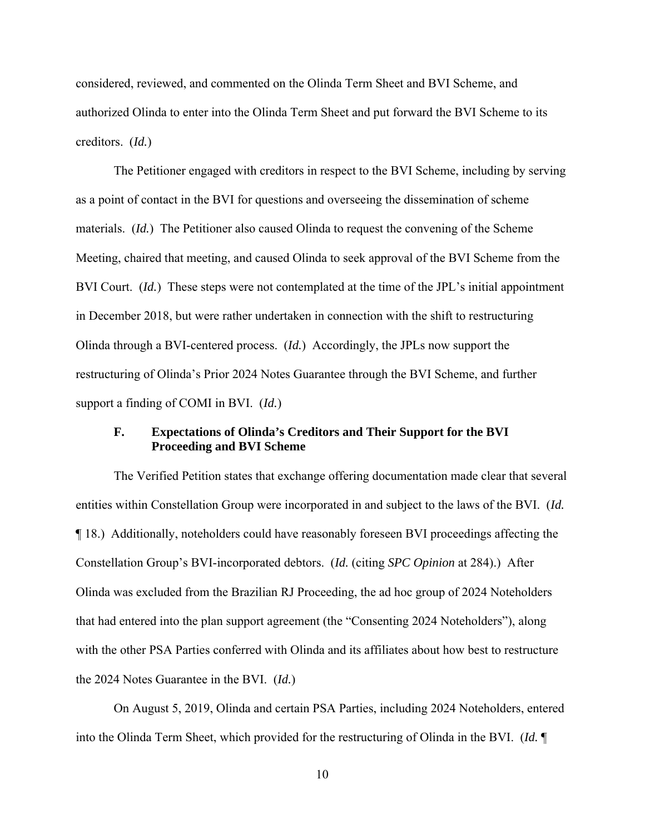considered, reviewed, and commented on the Olinda Term Sheet and BVI Scheme, and authorized Olinda to enter into the Olinda Term Sheet and put forward the BVI Scheme to its creditors. (*Id.*)

 The Petitioner engaged with creditors in respect to the BVI Scheme, including by serving as a point of contact in the BVI for questions and overseeing the dissemination of scheme materials. (*Id.*) The Petitioner also caused Olinda to request the convening of the Scheme Meeting, chaired that meeting, and caused Olinda to seek approval of the BVI Scheme from the BVI Court. (*Id.*) These steps were not contemplated at the time of the JPL's initial appointment in December 2018, but were rather undertaken in connection with the shift to restructuring Olinda through a BVI-centered process. (*Id.*) Accordingly, the JPLs now support the restructuring of Olinda's Prior 2024 Notes Guarantee through the BVI Scheme, and further support a finding of COMI in BVI. (*Id.*)

## **F. Expectations of Olinda's Creditors and Their Support for the BVI Proceeding and BVI Scheme**

The Verified Petition states that exchange offering documentation made clear that several entities within Constellation Group were incorporated in and subject to the laws of the BVI. (*Id.* ¶ 18.) Additionally, noteholders could have reasonably foreseen BVI proceedings affecting the Constellation Group's BVI-incorporated debtors. (*Id.* (citing *SPC Opinion* at 284).) After Olinda was excluded from the Brazilian RJ Proceeding, the ad hoc group of 2024 Noteholders that had entered into the plan support agreement (the "Consenting 2024 Noteholders"), along with the other PSA Parties conferred with Olinda and its affiliates about how best to restructure the 2024 Notes Guarantee in the BVI. (*Id.*)

On August 5, 2019, Olinda and certain PSA Parties, including 2024 Noteholders, entered into the Olinda Term Sheet, which provided for the restructuring of Olinda in the BVI. (*Id.* ¶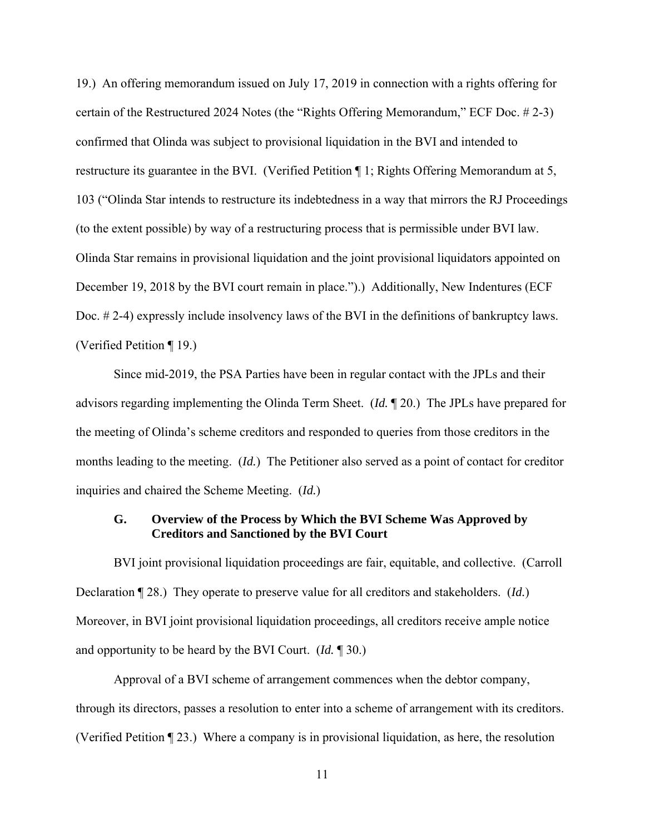19.) An offering memorandum issued on July 17, 2019 in connection with a rights offering for certain of the Restructured 2024 Notes (the "Rights Offering Memorandum," ECF Doc. # 2-3) confirmed that Olinda was subject to provisional liquidation in the BVI and intended to restructure its guarantee in the BVI. (Verified Petition ¶ 1; Rights Offering Memorandum at 5, 103 ("Olinda Star intends to restructure its indebtedness in a way that mirrors the RJ Proceedings (to the extent possible) by way of a restructuring process that is permissible under BVI law. Olinda Star remains in provisional liquidation and the joint provisional liquidators appointed on December 19, 2018 by the BVI court remain in place.").) Additionally, New Indentures (ECF Doc. # 2-4) expressly include insolvency laws of the BVI in the definitions of bankruptcy laws. (Verified Petition ¶ 19.)

Since mid-2019, the PSA Parties have been in regular contact with the JPLs and their advisors regarding implementing the Olinda Term Sheet. (*Id.* ¶ 20.) The JPLs have prepared for the meeting of Olinda's scheme creditors and responded to queries from those creditors in the months leading to the meeting. (*Id.*) The Petitioner also served as a point of contact for creditor inquiries and chaired the Scheme Meeting. (*Id.*)

## **G. Overview of the Process by Which the BVI Scheme Was Approved by Creditors and Sanctioned by the BVI Court**

BVI joint provisional liquidation proceedings are fair, equitable, and collective. (Carroll Declaration ¶ 28.) They operate to preserve value for all creditors and stakeholders. (*Id.*) Moreover, in BVI joint provisional liquidation proceedings, all creditors receive ample notice and opportunity to be heard by the BVI Court. (*Id.* ¶ 30.)

Approval of a BVI scheme of arrangement commences when the debtor company, through its directors, passes a resolution to enter into a scheme of arrangement with its creditors. (Verified Petition ¶ 23.) Where a company is in provisional liquidation, as here, the resolution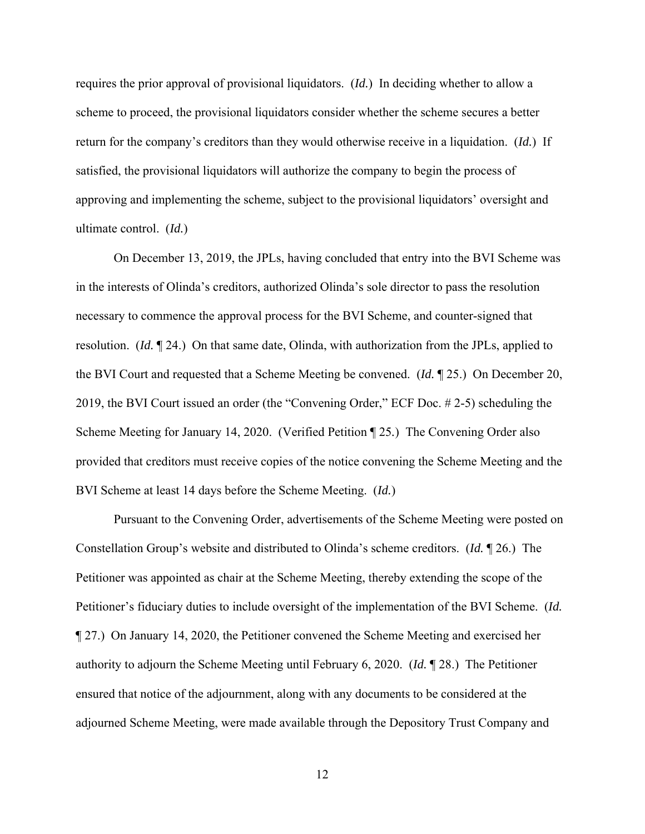requires the prior approval of provisional liquidators. (*Id.*) In deciding whether to allow a scheme to proceed, the provisional liquidators consider whether the scheme secures a better return for the company's creditors than they would otherwise receive in a liquidation. (*Id.*) If satisfied, the provisional liquidators will authorize the company to begin the process of approving and implementing the scheme, subject to the provisional liquidators' oversight and ultimate control. (*Id.*)

On December 13, 2019, the JPLs, having concluded that entry into the BVI Scheme was in the interests of Olinda's creditors, authorized Olinda's sole director to pass the resolution necessary to commence the approval process for the BVI Scheme, and counter-signed that resolution. (*Id.* ¶ 24.) On that same date, Olinda, with authorization from the JPLs, applied to the BVI Court and requested that a Scheme Meeting be convened. (*Id.* ¶ 25.) On December 20, 2019, the BVI Court issued an order (the "Convening Order," ECF Doc. # 2-5) scheduling the Scheme Meeting for January 14, 2020. (Verified Petition ¶ 25*.*) The Convening Order also provided that creditors must receive copies of the notice convening the Scheme Meeting and the BVI Scheme at least 14 days before the Scheme Meeting. (*Id.*)

Pursuant to the Convening Order, advertisements of the Scheme Meeting were posted on Constellation Group's website and distributed to Olinda's scheme creditors. (*Id.* ¶ 26.) The Petitioner was appointed as chair at the Scheme Meeting, thereby extending the scope of the Petitioner's fiduciary duties to include oversight of the implementation of the BVI Scheme. (*Id.* ¶ 27.) On January 14, 2020, the Petitioner convened the Scheme Meeting and exercised her authority to adjourn the Scheme Meeting until February 6, 2020. (*Id.* ¶ 28.) The Petitioner ensured that notice of the adjournment, along with any documents to be considered at the adjourned Scheme Meeting, were made available through the Depository Trust Company and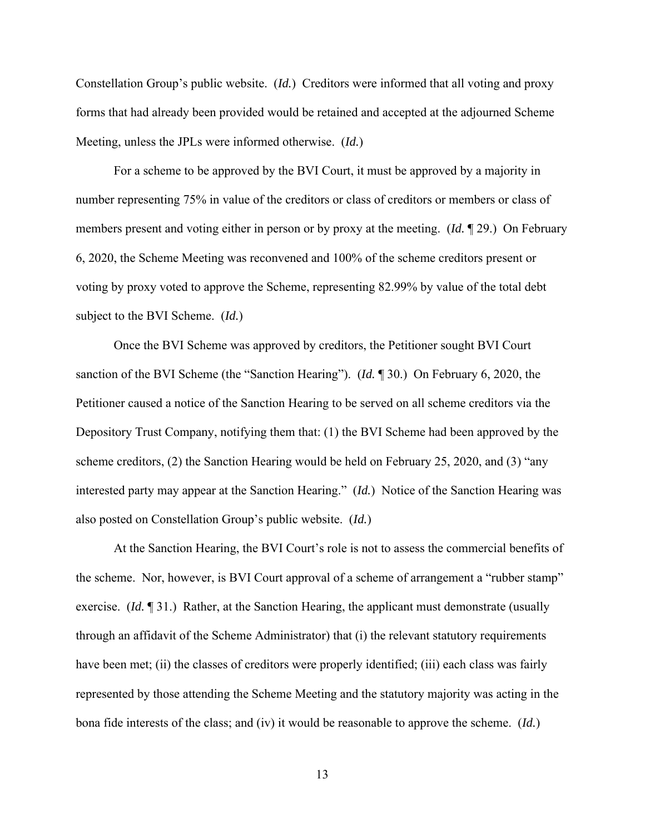Constellation Group's public website. (*Id.*) Creditors were informed that all voting and proxy forms that had already been provided would be retained and accepted at the adjourned Scheme Meeting, unless the JPLs were informed otherwise. (*Id.*)

For a scheme to be approved by the BVI Court, it must be approved by a majority in number representing 75% in value of the creditors or class of creditors or members or class of members present and voting either in person or by proxy at the meeting. (*Id.* ¶ 29.) On February 6, 2020, the Scheme Meeting was reconvened and 100% of the scheme creditors present or voting by proxy voted to approve the Scheme, representing 82.99% by value of the total debt subject to the BVI Scheme. (*Id.*)

Once the BVI Scheme was approved by creditors, the Petitioner sought BVI Court sanction of the BVI Scheme (the "Sanction Hearing"). (*Id.* ¶ 30.) On February 6, 2020, the Petitioner caused a notice of the Sanction Hearing to be served on all scheme creditors via the Depository Trust Company, notifying them that: (1) the BVI Scheme had been approved by the scheme creditors, (2) the Sanction Hearing would be held on February 25, 2020, and (3) "any interested party may appear at the Sanction Hearing." (*Id.*) Notice of the Sanction Hearing was also posted on Constellation Group's public website. (*Id.*)

At the Sanction Hearing, the BVI Court's role is not to assess the commercial benefits of the scheme. Nor, however, is BVI Court approval of a scheme of arrangement a "rubber stamp" exercise. (*Id.* ¶ 31.) Rather, at the Sanction Hearing, the applicant must demonstrate (usually through an affidavit of the Scheme Administrator) that (i) the relevant statutory requirements have been met; (ii) the classes of creditors were properly identified; (iii) each class was fairly represented by those attending the Scheme Meeting and the statutory majority was acting in the bona fide interests of the class; and (iv) it would be reasonable to approve the scheme. (*Id.*)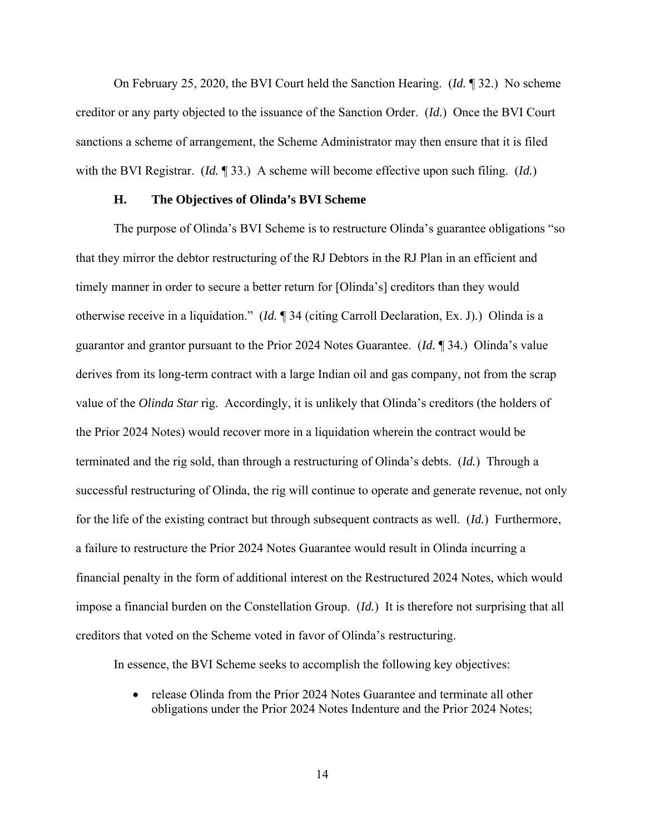On February 25, 2020, the BVI Court held the Sanction Hearing. (*Id.* ¶ 32.) No scheme creditor or any party objected to the issuance of the Sanction Order. (*Id.*) Once the BVI Court sanctions a scheme of arrangement, the Scheme Administrator may then ensure that it is filed with the BVI Registrar. (*Id.* ¶ 33.) A scheme will become effective upon such filing. (*Id.*)

### **H. The Objectives of Olinda's BVI Scheme**

The purpose of Olinda's BVI Scheme is to restructure Olinda's guarantee obligations "so that they mirror the debtor restructuring of the RJ Debtors in the RJ Plan in an efficient and timely manner in order to secure a better return for [Olinda's] creditors than they would otherwise receive in a liquidation." (*Id.* ¶ 34 (citing Carroll Declaration, Ex. J).) Olinda is a guarantor and grantor pursuant to the Prior 2024 Notes Guarantee. (*Id.* ¶ 34*.*) Olinda's value derives from its long-term contract with a large Indian oil and gas company, not from the scrap value of the *Olinda Star* rig. Accordingly, it is unlikely that Olinda's creditors (the holders of the Prior 2024 Notes) would recover more in a liquidation wherein the contract would be terminated and the rig sold, than through a restructuring of Olinda's debts. (*Id.*) Through a successful restructuring of Olinda, the rig will continue to operate and generate revenue, not only for the life of the existing contract but through subsequent contracts as well. (*Id.*) Furthermore, a failure to restructure the Prior 2024 Notes Guarantee would result in Olinda incurring a financial penalty in the form of additional interest on the Restructured 2024 Notes, which would impose a financial burden on the Constellation Group. (*Id.*) It is therefore not surprising that all creditors that voted on the Scheme voted in favor of Olinda's restructuring.

In essence, the BVI Scheme seeks to accomplish the following key objectives:

• release Olinda from the Prior 2024 Notes Guarantee and terminate all other obligations under the Prior 2024 Notes Indenture and the Prior 2024 Notes;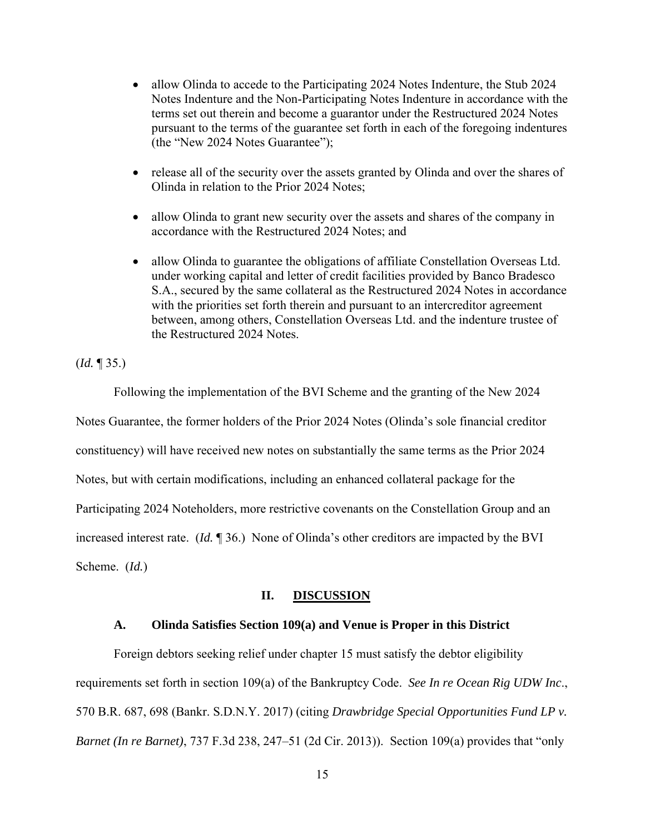- allow Olinda to accede to the Participating 2024 Notes Indenture, the Stub 2024 Notes Indenture and the Non-Participating Notes Indenture in accordance with the terms set out therein and become a guarantor under the Restructured 2024 Notes pursuant to the terms of the guarantee set forth in each of the foregoing indentures (the "New 2024 Notes Guarantee");
- release all of the security over the assets granted by Olinda and over the shares of Olinda in relation to the Prior 2024 Notes;
- allow Olinda to grant new security over the assets and shares of the company in accordance with the Restructured 2024 Notes; and
- allow Olinda to guarantee the obligations of affiliate Constellation Overseas Ltd. under working capital and letter of credit facilities provided by Banco Bradesco S.A., secured by the same collateral as the Restructured 2024 Notes in accordance with the priorities set forth therein and pursuant to an intercreditor agreement between, among others, Constellation Overseas Ltd. and the indenture trustee of the Restructured 2024 Notes.

(*Id.* ¶ 35.)

 Following the implementation of the BVI Scheme and the granting of the New 2024 Notes Guarantee, the former holders of the Prior 2024 Notes (Olinda's sole financial creditor constituency) will have received new notes on substantially the same terms as the Prior 2024 Notes, but with certain modifications, including an enhanced collateral package for the Participating 2024 Noteholders, more restrictive covenants on the Constellation Group and an increased interest rate. (*Id.* ¶ 36.) None of Olinda's other creditors are impacted by the BVI Scheme. (*Id.*)

### **II. DISCUSSION**

### **A. Olinda Satisfies Section 109(a) and Venue is Proper in this District**

Foreign debtors seeking relief under chapter 15 must satisfy the debtor eligibility requirements set forth in section 109(a) of the Bankruptcy Code. *See In re Ocean Rig UDW Inc*., 570 B.R. 687, 698 (Bankr. S.D.N.Y. 2017) (citing *Drawbridge Special Opportunities Fund LP v. Barnet (In re Barnet)*, 737 F.3d 238, 247–51 (2d Cir. 2013)). Section 109(a) provides that "only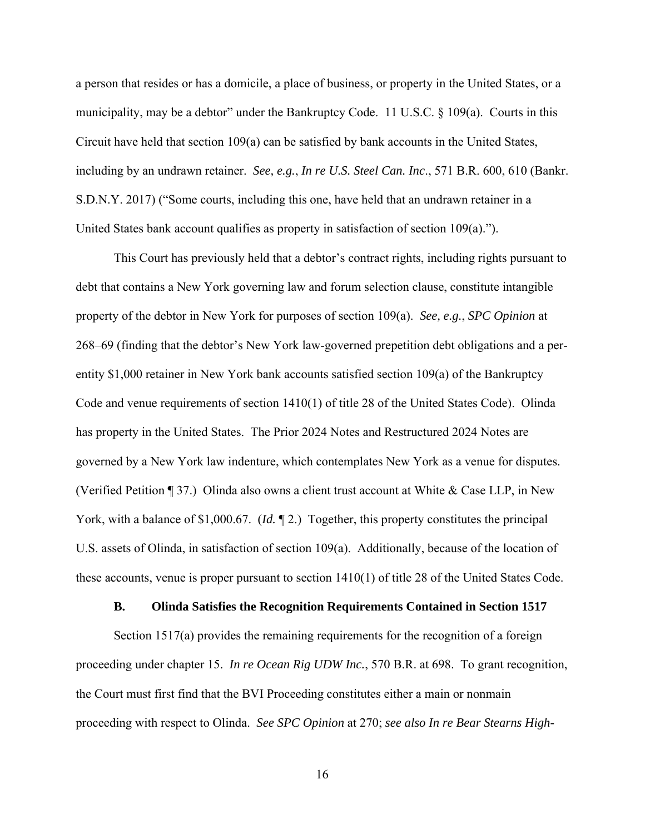a person that resides or has a domicile, a place of business, or property in the United States, or a municipality, may be a debtor" under the Bankruptcy Code. 11 U.S.C. § 109(a). Courts in this Circuit have held that section 109(a) can be satisfied by bank accounts in the United States, including by an undrawn retainer. *See, e.g.*, *In re U.S. Steel Can. Inc*., 571 B.R. 600, 610 (Bankr. S.D.N.Y. 2017) ("Some courts, including this one, have held that an undrawn retainer in a United States bank account qualifies as property in satisfaction of section 109(a).").

This Court has previously held that a debtor's contract rights, including rights pursuant to debt that contains a New York governing law and forum selection clause, constitute intangible property of the debtor in New York for purposes of section 109(a). *See, e.g.*, *SPC Opinion* at 268–69 (finding that the debtor's New York law-governed prepetition debt obligations and a perentity \$1,000 retainer in New York bank accounts satisfied section 109(a) of the Bankruptcy Code and venue requirements of section 1410(1) of title 28 of the United States Code). Olinda has property in the United States. The Prior 2024 Notes and Restructured 2024 Notes are governed by a New York law indenture, which contemplates New York as a venue for disputes. (Verified Petition ¶ 37.) Olinda also owns a client trust account at White & Case LLP, in New York, with a balance of \$1,000.67. (*Id.* ¶ 2.) Together, this property constitutes the principal U.S. assets of Olinda, in satisfaction of section 109(a). Additionally, because of the location of these accounts, venue is proper pursuant to section 1410(1) of title 28 of the United States Code.

#### **B. Olinda Satisfies the Recognition Requirements Contained in Section 1517**

Section 1517(a) provides the remaining requirements for the recognition of a foreign proceeding under chapter 15. *In re Ocean Rig UDW Inc.*, 570 B.R. at 698. To grant recognition, the Court must first find that the BVI Proceeding constitutes either a main or nonmain proceeding with respect to Olinda. *See SPC Opinion* at 270; *see also In re Bear Stearns High-*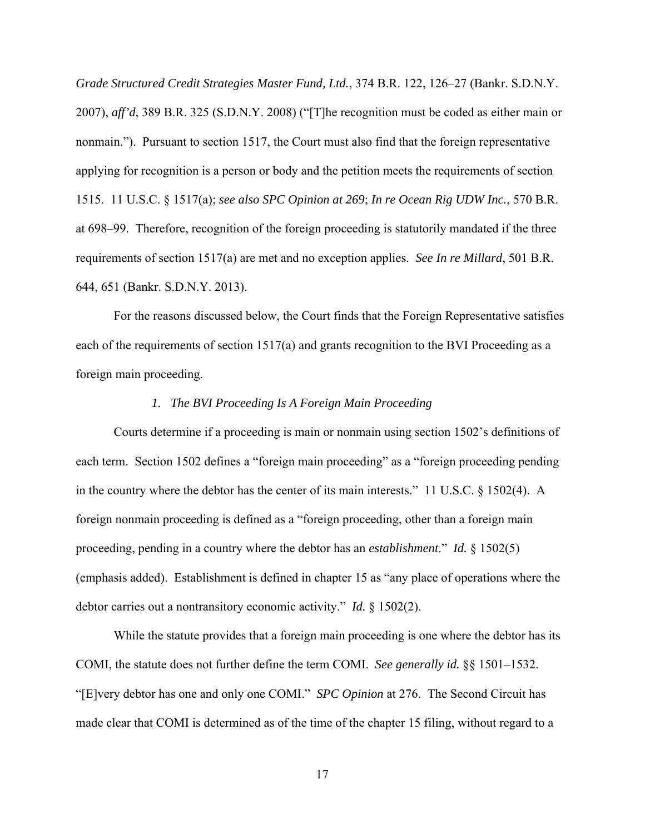*Grade Structured Credit Strategies Master Fund, Ltd.*, 374 B.R. 122, 126–27 (Bankr. S.D.N.Y. 2007), *aff'd*, 389 B.R. 325 (S.D.N.Y. 2008) ("[T]he recognition must be coded as either main or nonmain."). Pursuant to section 1517, the Court must also find that the foreign representative applying for recognition is a person or body and the petition meets the requirements of section 1515. 11 U.S.C. § 1517(a); *see also SPC Opinion at 269*; *In re Ocean Rig UDW Inc.*, 570 B.R. at 698–99.Therefore, recognition of the foreign proceeding is statutorily mandated if the three requirements of section 1517(a) are met and no exception applies. *See In re Millard*, 501 B.R. 644, 651 (Bankr. S.D.N.Y. 2013).

For the reasons discussed below, the Court finds that the Foreign Representative satisfies each of the requirements of section  $1517(a)$  and grants recognition to the BVI Proceeding as a foreign main proceeding.

## *1. The BVI Proceeding Is A Foreign Main Proceeding*

Courts determine if a proceeding is main or nonmain using section 1502's definitions of each term. Section 1502 defines a "foreign main proceeding" as a "foreign proceeding pending in the country where the debtor has the center of its main interests." 11 U.S.C. § 1502(4). A foreign nonmain proceeding is defined as a "foreign proceeding, other than a foreign main proceeding, pending in a country where the debtor has an *establishment*." *Id.* § 1502(5) (emphasis added). Establishment is defined in chapter 15 as "any place of operations where the debtor carries out a nontransitory economic activity." *Id.* § 1502(2).

 While the statute provides that a foreign main proceeding is one where the debtor has its COMI, the statute does not further define the term COMI. *See generally id.* §§ 1501–1532. "[E]very debtor has one and only one COMI." *SPC Opinion* at 276. The Second Circuit has made clear that COMI is determined as of the time of the chapter 15 filing, without regard to a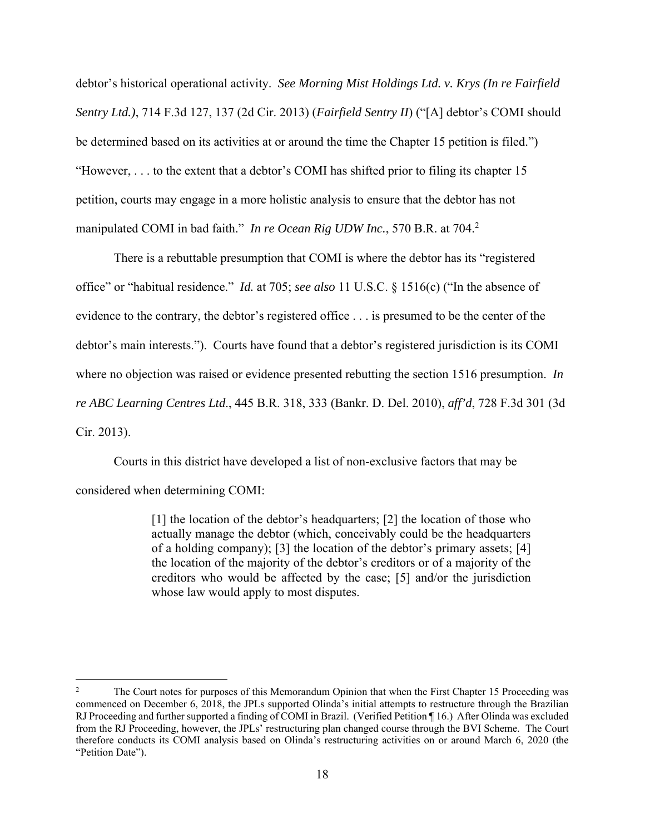debtor's historical operational activity. *See Morning Mist Holdings Ltd. v. Krys (In re Fairfield Sentry Ltd.)*, 714 F.3d 127, 137 (2d Cir. 2013) (*Fairfield Sentry II*) ("[A] debtor's COMI should be determined based on its activities at or around the time the Chapter 15 petition is filed.") "However, . . . to the extent that a debtor's COMI has shifted prior to filing its chapter 15 petition, courts may engage in a more holistic analysis to ensure that the debtor has not manipulated COMI in bad faith." *In re Ocean Rig UDW Inc.*, 570 B.R. at 704.<sup>2</sup>

 There is a rebuttable presumption that COMI is where the debtor has its "registered office" or "habitual residence." *Id.* at 705; *see also* 11 U.S.C. § 1516(c) ("In the absence of evidence to the contrary, the debtor's registered office . . . is presumed to be the center of the debtor's main interests."). Courts have found that a debtor's registered jurisdiction is its COMI where no objection was raised or evidence presented rebutting the section 1516 presumption. *In re ABC Learning Centres Ltd*., 445 B.R. 318, 333 (Bankr. D. Del. 2010), *aff'd*, 728 F.3d 301 (3d Cir. 2013).

Courts in this district have developed a list of non-exclusive factors that may be considered when determining COMI:

> [1] the location of the debtor's headquarters; [2] the location of those who actually manage the debtor (which, conceivably could be the headquarters of a holding company); [3] the location of the debtor's primary assets; [4] the location of the majority of the debtor's creditors or of a majority of the creditors who would be affected by the case; [5] and/or the jurisdiction whose law would apply to most disputes.

<sup>2</sup> The Court notes for purposes of this Memorandum Opinion that when the First Chapter 15 Proceeding was commenced on December 6, 2018, the JPLs supported Olinda's initial attempts to restructure through the Brazilian RJ Proceeding and further supported a finding of COMI in Brazil. (Verified Petition ¶ 16.) After Olinda was excluded from the RJ Proceeding, however, the JPLs' restructuring plan changed course through the BVI Scheme. The Court therefore conducts its COMI analysis based on Olinda's restructuring activities on or around March 6, 2020 (the "Petition Date").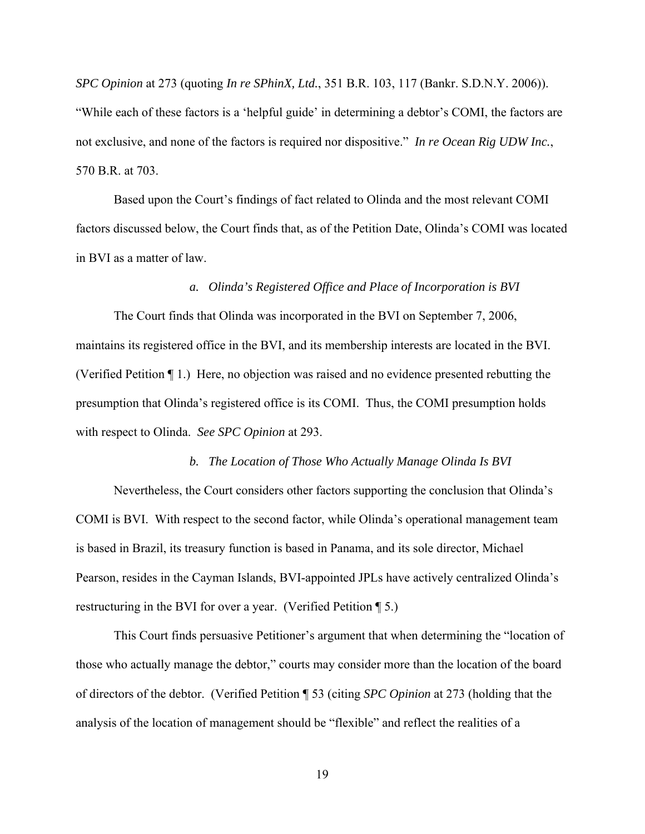*SPC Opinion* at 273 (quoting *In re SPhinX, Ltd.*, 351 B.R. 103, 117 (Bankr. S.D.N.Y. 2006)). "While each of these factors is a 'helpful guide' in determining a debtor's COMI, the factors are not exclusive, and none of the factors is required nor dispositive." *In re Ocean Rig UDW Inc.*, 570 B.R. at 703.

 Based upon the Court's findings of fact related to Olinda and the most relevant COMI factors discussed below, the Court finds that, as of the Petition Date, Olinda's COMI was located in BVI as a matter of law.

### *a. Olinda's Registered Office and Place of Incorporation is BVI*

The Court finds that Olinda was incorporated in the BVI on September 7, 2006, maintains its registered office in the BVI, and its membership interests are located in the BVI. (Verified Petition ¶ 1.) Here, no objection was raised and no evidence presented rebutting the presumption that Olinda's registered office is its COMI. Thus, the COMI presumption holds with respect to Olinda. *See SPC Opinion* at 293.

#### *b. The Location of Those Who Actually Manage Olinda Is BVI*

 Nevertheless, the Court considers other factors supporting the conclusion that Olinda's COMI is BVI. With respect to the second factor, while Olinda's operational management team is based in Brazil, its treasury function is based in Panama, and its sole director, Michael Pearson, resides in the Cayman Islands, BVI-appointed JPLs have actively centralized Olinda's restructuring in the BVI for over a year. (Verified Petition ¶ 5.)

This Court finds persuasive Petitioner's argument that when determining the "location of those who actually manage the debtor," courts may consider more than the location of the board of directors of the debtor. (Verified Petition ¶ 53 (citing *SPC Opinion* at 273 (holding that the analysis of the location of management should be "flexible" and reflect the realities of a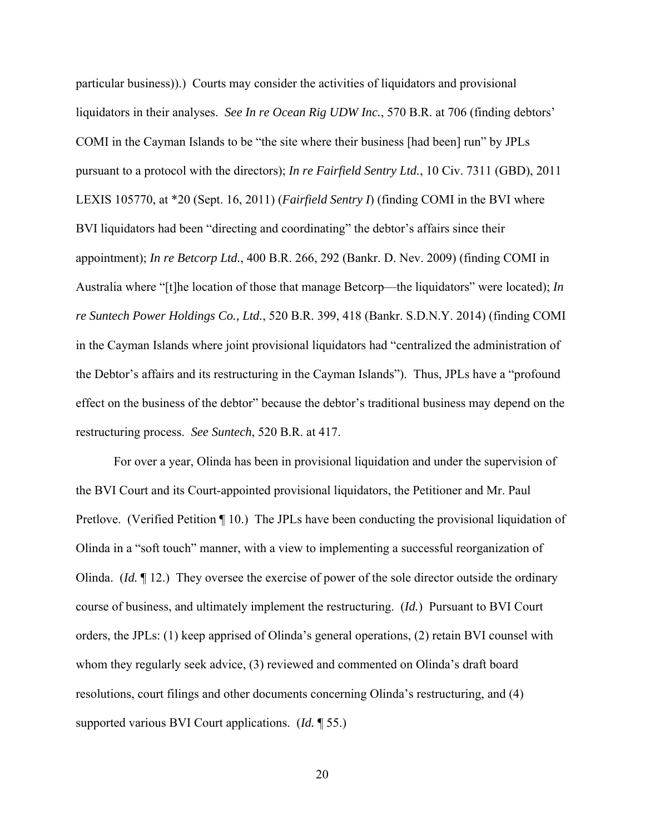particular business)).) Courts may consider the activities of liquidators and provisional liquidators in their analyses. *See In re Ocean Rig UDW Inc.*, 570 B.R. at 706 (finding debtors' COMI in the Cayman Islands to be "the site where their business [had been] run" by JPLs pursuant to a protocol with the directors); *In re Fairfield Sentry Ltd.*, 10 Civ. 7311 (GBD), 2011 LEXIS 105770, at \*20 (Sept. 16, 2011) (*Fairfield Sentry I*) (finding COMI in the BVI where BVI liquidators had been "directing and coordinating" the debtor's affairs since their appointment); *In re Betcorp Ltd.*, 400 B.R. 266, 292 (Bankr. D. Nev. 2009) (finding COMI in Australia where "[t]he location of those that manage Betcorp—the liquidators" were located); *In re Suntech Power Holdings Co., Ltd.*, 520 B.R. 399, 418 (Bankr. S.D.N.Y. 2014) (finding COMI in the Cayman Islands where joint provisional liquidators had "centralized the administration of the Debtor's affairs and its restructuring in the Cayman Islands"). Thus, JPLs have a "profound effect on the business of the debtor" because the debtor's traditional business may depend on the restructuring process. *See Suntech*, 520 B.R. at 417.

For over a year, Olinda has been in provisional liquidation and under the supervision of the BVI Court and its Court-appointed provisional liquidators, the Petitioner and Mr. Paul Pretlove. (Verified Petition ¶ 10.) The JPLs have been conducting the provisional liquidation of Olinda in a "soft touch" manner, with a view to implementing a successful reorganization of Olinda. (*Id.* ¶ 12.) They oversee the exercise of power of the sole director outside the ordinary course of business, and ultimately implement the restructuring. (*Id.*) Pursuant to BVI Court orders, the JPLs: (1) keep apprised of Olinda's general operations, (2) retain BVI counsel with whom they regularly seek advice, (3) reviewed and commented on Olinda's draft board resolutions, court filings and other documents concerning Olinda's restructuring, and (4) supported various BVI Court applications. (*Id.* ¶ 55.)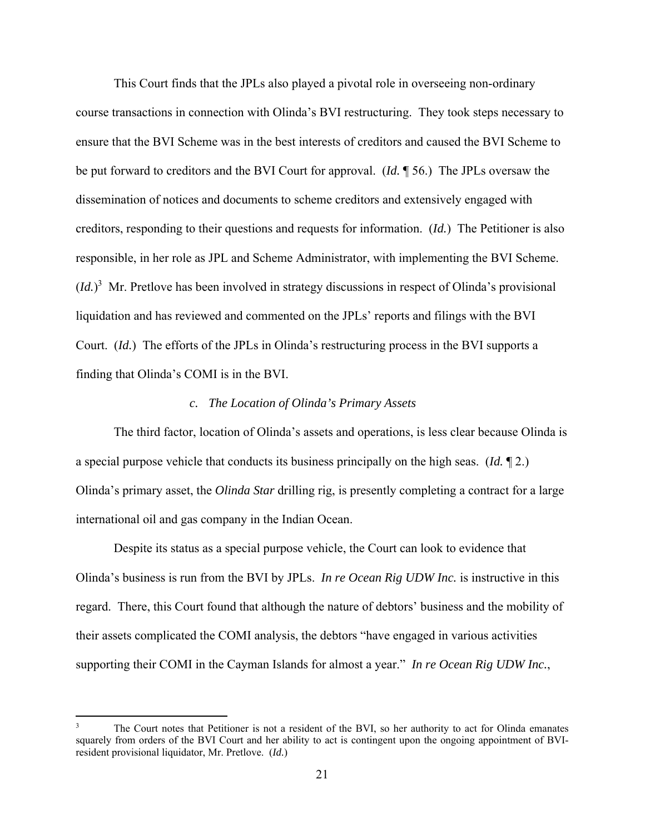This Court finds that the JPLs also played a pivotal role in overseeing non-ordinary course transactions in connection with Olinda's BVI restructuring. They took steps necessary to ensure that the BVI Scheme was in the best interests of creditors and caused the BVI Scheme to be put forward to creditors and the BVI Court for approval. (*Id.* ¶ 56.) The JPLs oversaw the dissemination of notices and documents to scheme creditors and extensively engaged with creditors, responding to their questions and requests for information. (*Id.*) The Petitioner is also responsible, in her role as JPL and Scheme Administrator, with implementing the BVI Scheme. (*Id.*) 3 Mr. Pretlove has been involved in strategy discussions in respect of Olinda's provisional liquidation and has reviewed and commented on the JPLs' reports and filings with the BVI Court. (*Id.*) The efforts of the JPLs in Olinda's restructuring process in the BVI supports a finding that Olinda's COMI is in the BVI.

#### *c. The Location of Olinda's Primary Assets*

 The third factor, location of Olinda's assets and operations, is less clear because Olinda is a special purpose vehicle that conducts its business principally on the high seas. (*Id.* ¶ 2.) Olinda's primary asset, the *Olinda Star* drilling rig, is presently completing a contract for a large international oil and gas company in the Indian Ocean.

Despite its status as a special purpose vehicle, the Court can look to evidence that Olinda's business is run from the BVI by JPLs. *In re Ocean Rig UDW Inc.* is instructive in this regard. There, this Court found that although the nature of debtors' business and the mobility of their assets complicated the COMI analysis, the debtors "have engaged in various activities supporting their COMI in the Cayman Islands for almost a year." *In re Ocean Rig UDW Inc.*,

<sup>3</sup> The Court notes that Petitioner is not a resident of the BVI, so her authority to act for Olinda emanates squarely from orders of the BVI Court and her ability to act is contingent upon the ongoing appointment of BVIresident provisional liquidator, Mr. Pretlove. (*Id.*)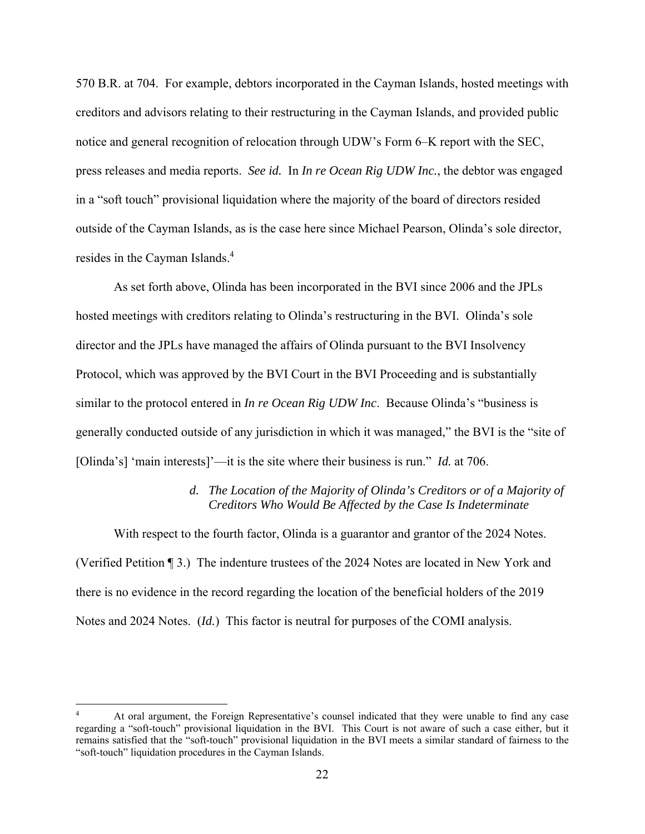570 B.R. at 704. For example, debtors incorporated in the Cayman Islands, hosted meetings with creditors and advisors relating to their restructuring in the Cayman Islands, and provided public notice and general recognition of relocation through UDW's Form 6–K report with the SEC, press releases and media reports. *See id.* In *In re Ocean Rig UDW Inc.*, the debtor was engaged in a "soft touch" provisional liquidation where the majority of the board of directors resided outside of the Cayman Islands, as is the case here since Michael Pearson, Olinda's sole director, resides in the Cayman Islands.<sup>4</sup>

As set forth above, Olinda has been incorporated in the BVI since 2006 and the JPLs hosted meetings with creditors relating to Olinda's restructuring in the BVI. Olinda's sole director and the JPLs have managed the affairs of Olinda pursuant to the BVI Insolvency Protocol, which was approved by the BVI Court in the BVI Proceeding and is substantially similar to the protocol entered in *In re Ocean Rig UDW Inc*. Because Olinda's "business is generally conducted outside of any jurisdiction in which it was managed," the BVI is the "site of [Olinda's] 'main interests]'—it is the site where their business is run." *Id.* at 706.

## *d. The Location of the Majority of Olinda's Creditors or of a Majority of Creditors Who Would Be Affected by the Case Is Indeterminate*

With respect to the fourth factor, Olinda is a guarantor and grantor of the 2024 Notes. (Verified Petition ¶ 3.) The indenture trustees of the 2024 Notes are located in New York and there is no evidence in the record regarding the location of the beneficial holders of the 2019 Notes and 2024 Notes. (*Id.*) This factor is neutral for purposes of the COMI analysis.

<sup>4</sup> At oral argument, the Foreign Representative's counsel indicated that they were unable to find any case regarding a "soft-touch" provisional liquidation in the BVI. This Court is not aware of such a case either, but it remains satisfied that the "soft-touch" provisional liquidation in the BVI meets a similar standard of fairness to the "soft-touch" liquidation procedures in the Cayman Islands.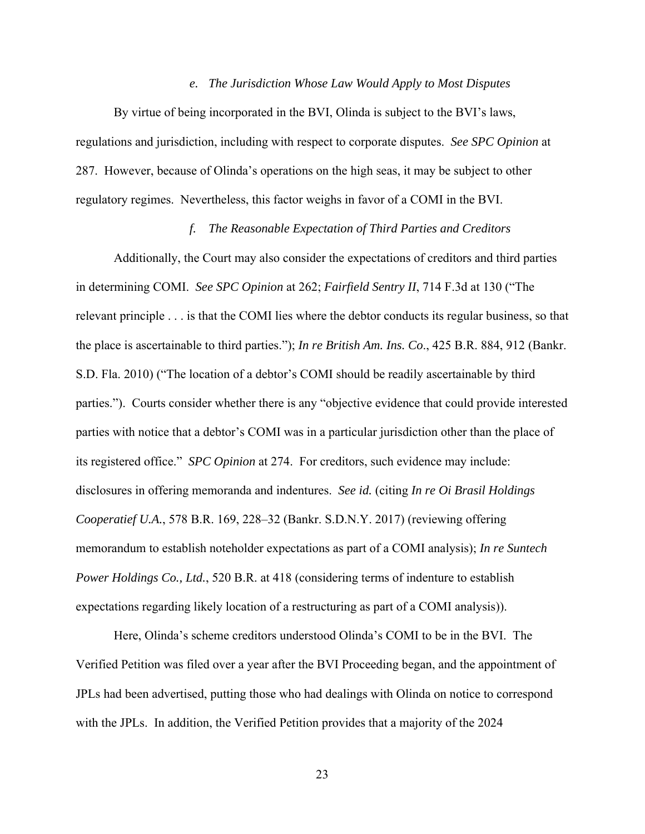#### *e. The Jurisdiction Whose Law Would Apply to Most Disputes*

By virtue of being incorporated in the BVI, Olinda is subject to the BVI's laws, regulations and jurisdiction, including with respect to corporate disputes. *See SPC Opinion* at 287. However, because of Olinda's operations on the high seas, it may be subject to other regulatory regimes. Nevertheless, this factor weighs in favor of a COMI in the BVI.

## *f. The Reasonable Expectation of Third Parties and Creditors*

Additionally, the Court may also consider the expectations of creditors and third parties in determining COMI. *See SPC Opinion* at 262; *Fairfield Sentry II*, 714 F.3d at 130 ("The relevant principle . . . is that the COMI lies where the debtor conducts its regular business, so that the place is ascertainable to third parties."); *In re British Am. Ins. Co*., 425 B.R. 884, 912 (Bankr. S.D. Fla. 2010) ("The location of a debtor's COMI should be readily ascertainable by third parties."). Courts consider whether there is any "objective evidence that could provide interested parties with notice that a debtor's COMI was in a particular jurisdiction other than the place of its registered office." *SPC Opinion* at 274. For creditors, such evidence may include: disclosures in offering memoranda and indentures. *See id.* (citing *In re Oi Brasil Holdings Cooperatief U.A.*, 578 B.R. 169, 228–32 (Bankr. S.D.N.Y. 2017) (reviewing offering memorandum to establish noteholder expectations as part of a COMI analysis); *In re Suntech Power Holdings Co., Ltd.*, 520 B.R. at 418 (considering terms of indenture to establish expectations regarding likely location of a restructuring as part of a COMI analysis)).

 Here, Olinda's scheme creditors understood Olinda's COMI to be in the BVI. The Verified Petition was filed over a year after the BVI Proceeding began, and the appointment of JPLs had been advertised, putting those who had dealings with Olinda on notice to correspond with the JPLs. In addition, the Verified Petition provides that a majority of the 2024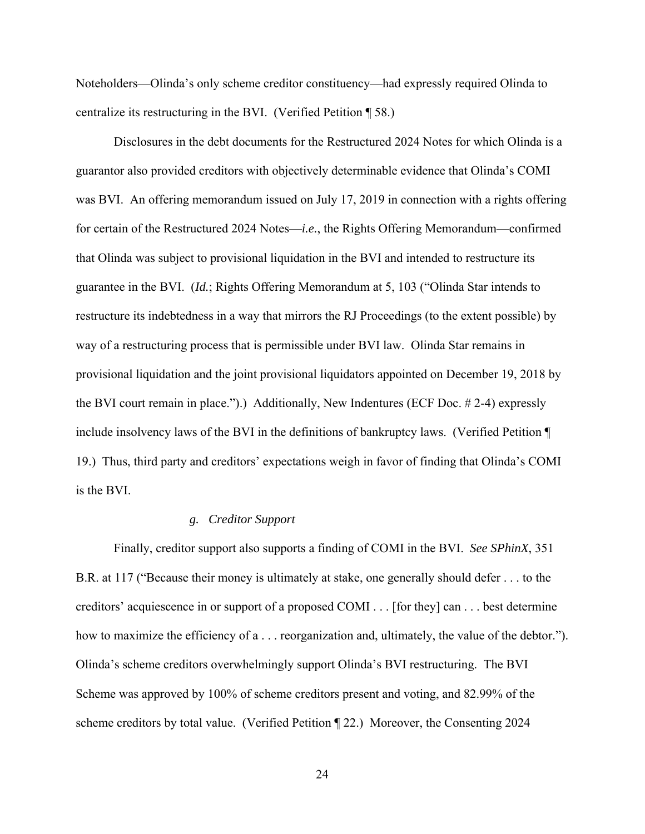Noteholders—Olinda's only scheme creditor constituency—had expressly required Olinda to centralize its restructuring in the BVI. (Verified Petition ¶ 58.)

Disclosures in the debt documents for the Restructured 2024 Notes for which Olinda is a guarantor also provided creditors with objectively determinable evidence that Olinda's COMI was BVI. An offering memorandum issued on July 17, 2019 in connection with a rights offering for certain of the Restructured 2024 Notes—*i.e.*, the Rights Offering Memorandum—confirmed that Olinda was subject to provisional liquidation in the BVI and intended to restructure its guarantee in the BVI. (*Id.*; Rights Offering Memorandum at 5, 103 ("Olinda Star intends to restructure its indebtedness in a way that mirrors the RJ Proceedings (to the extent possible) by way of a restructuring process that is permissible under BVI law. Olinda Star remains in provisional liquidation and the joint provisional liquidators appointed on December 19, 2018 by the BVI court remain in place.").) Additionally, New Indentures (ECF Doc. # 2-4) expressly include insolvency laws of the BVI in the definitions of bankruptcy laws. (Verified Petition ¶ 19.) Thus, third party and creditors' expectations weigh in favor of finding that Olinda's COMI is the BVI.

#### *g. Creditor Support*

 Finally, creditor support also supports a finding of COMI in the BVI. *See SPhinX*, 351 B.R. at 117 ("Because their money is ultimately at stake, one generally should defer . . . to the creditors' acquiescence in or support of a proposed COMI . . . [for they] can . . . best determine how to maximize the efficiency of a . . . reorganization and, ultimately, the value of the debtor."). Olinda's scheme creditors overwhelmingly support Olinda's BVI restructuring. The BVI Scheme was approved by 100% of scheme creditors present and voting, and 82.99% of the scheme creditors by total value. (Verified Petition ¶ 22.) Moreover, the Consenting 2024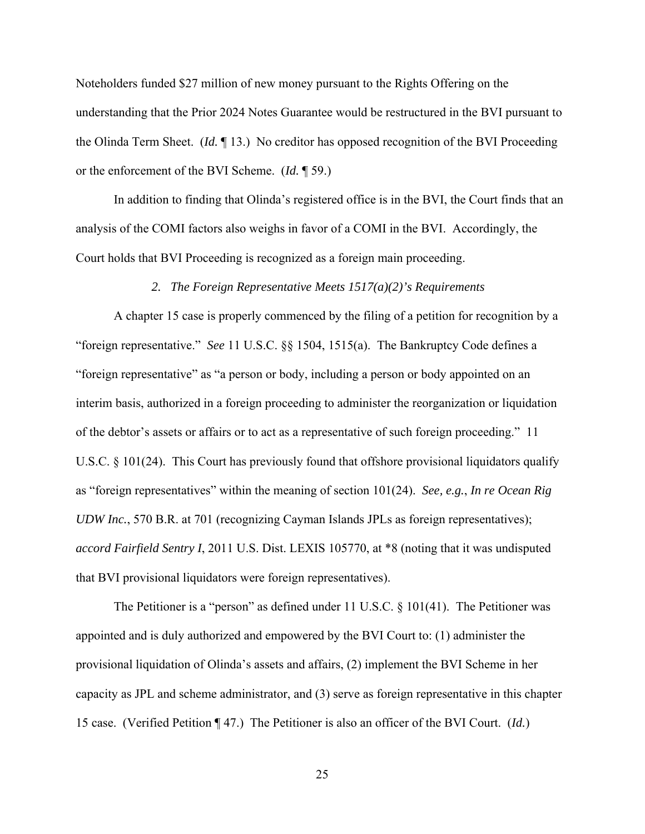Noteholders funded \$27 million of new money pursuant to the Rights Offering on the understanding that the Prior 2024 Notes Guarantee would be restructured in the BVI pursuant to the Olinda Term Sheet. (*Id.* ¶ 13.) No creditor has opposed recognition of the BVI Proceeding or the enforcement of the BVI Scheme. (*Id.* ¶ 59.)

 In addition to finding that Olinda's registered office is in the BVI, the Court finds that an analysis of the COMI factors also weighs in favor of a COMI in the BVI. Accordingly, the Court holds that BVI Proceeding is recognized as a foreign main proceeding.

### *2. The Foreign Representative Meets 1517(a)(2)'s Requirements*

A chapter 15 case is properly commenced by the filing of a petition for recognition by a "foreign representative." *See* 11 U.S.C. §§ 1504, 1515(a). The Bankruptcy Code defines a "foreign representative" as "a person or body, including a person or body appointed on an interim basis, authorized in a foreign proceeding to administer the reorganization or liquidation of the debtor's assets or affairs or to act as a representative of such foreign proceeding." 11 U.S.C. § 101(24). This Court has previously found that offshore provisional liquidators qualify as "foreign representatives" within the meaning of section 101(24). *See, e.g.*, *In re Ocean Rig UDW Inc.*, 570 B.R. at 701 (recognizing Cayman Islands JPLs as foreign representatives); *accord Fairfield Sentry I*, 2011 U.S. Dist. LEXIS 105770, at \*8 (noting that it was undisputed that BVI provisional liquidators were foreign representatives).

The Petitioner is a "person" as defined under 11 U.S.C.  $\S$  101(41). The Petitioner was appointed and is duly authorized and empowered by the BVI Court to: (1) administer the provisional liquidation of Olinda's assets and affairs, (2) implement the BVI Scheme in her capacity as JPL and scheme administrator, and (3) serve as foreign representative in this chapter 15 case. (Verified Petition ¶ 47.) The Petitioner is also an officer of the BVI Court. (*Id.*)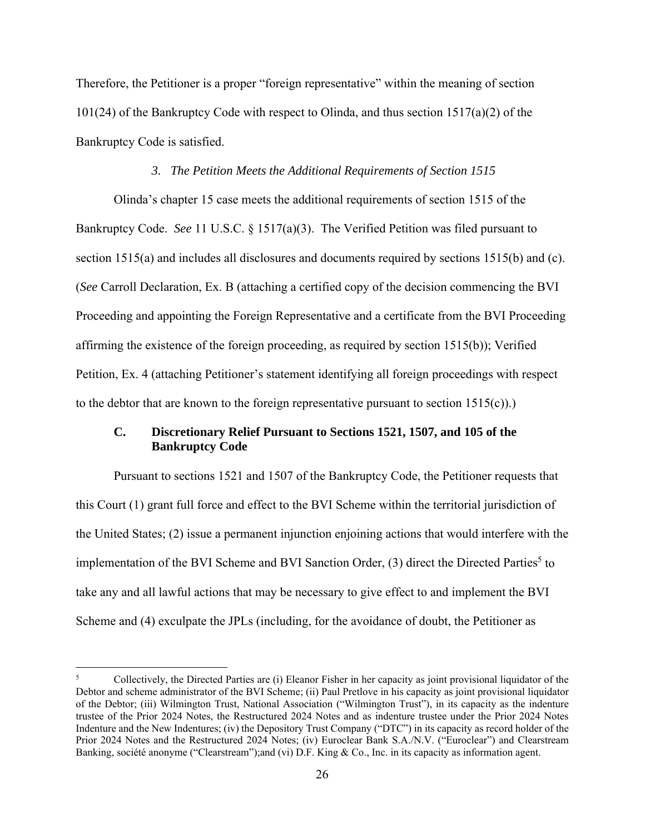Therefore, the Petitioner is a proper "foreign representative" within the meaning of section 101(24) of the Bankruptcy Code with respect to Olinda, and thus section 1517(a)(2) of the Bankruptcy Code is satisfied.

## *3. The Petition Meets the Additional Requirements of Section 1515*

Olinda's chapter 15 case meets the additional requirements of section 1515 of the Bankruptcy Code. *See* 11 U.S.C. § 1517(a)(3). The Verified Petition was filed pursuant to section 1515(a) and includes all disclosures and documents required by sections 1515(b) and (c). (*See* Carroll Declaration, Ex. B (attaching a certified copy of the decision commencing the BVI Proceeding and appointing the Foreign Representative and a certificate from the BVI Proceeding affirming the existence of the foreign proceeding, as required by section 1515(b)); Verified Petition, Ex. 4 (attaching Petitioner's statement identifying all foreign proceedings with respect to the debtor that are known to the foreign representative pursuant to section  $1515(c)$ .

## **C. Discretionary Relief Pursuant to Sections 1521, 1507, and 105 of the Bankruptcy Code**

Pursuant to sections 1521 and 1507 of the Bankruptcy Code, the Petitioner requests that this Court (1) grant full force and effect to the BVI Scheme within the territorial jurisdiction of the United States; (2) issue a permanent injunction enjoining actions that would interfere with the implementation of the BVI Scheme and BVI Sanction Order, (3) direct the Directed Parties<sup>5</sup> to take any and all lawful actions that may be necessary to give effect to and implement the BVI Scheme and (4) exculpate the JPLs (including, for the avoidance of doubt, the Petitioner as

<sup>5</sup> Collectively, the Directed Parties are (i) Eleanor Fisher in her capacity as joint provisional liquidator of the Debtor and scheme administrator of the BVI Scheme; (ii) Paul Pretlove in his capacity as joint provisional liquidator of the Debtor; (iii) Wilmington Trust, National Association ("Wilmington Trust"), in its capacity as the indenture trustee of the Prior 2024 Notes, the Restructured 2024 Notes and as indenture trustee under the Prior 2024 Notes Indenture and the New Indentures; (iv) the Depository Trust Company ("DTC") in its capacity as record holder of the Prior 2024 Notes and the Restructured 2024 Notes; (iv) Euroclear Bank S.A./N.V. ("Euroclear") and Clearstream Banking, société anonyme ("Clearstream");and (vi) D.F. King & Co., Inc. in its capacity as information agent.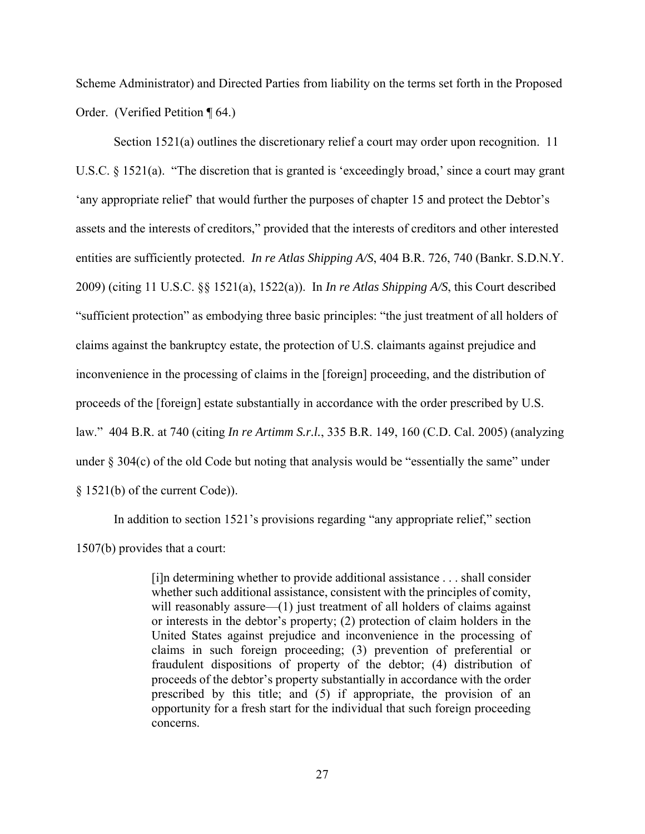Scheme Administrator) and Directed Parties from liability on the terms set forth in the Proposed Order. (Verified Petition ¶ 64.)

Section 1521(a) outlines the discretionary relief a court may order upon recognition. 11 U.S.C. § 1521(a). "The discretion that is granted is 'exceedingly broad,' since a court may grant 'any appropriate relief' that would further the purposes of chapter 15 and protect the Debtor's assets and the interests of creditors," provided that the interests of creditors and other interested entities are sufficiently protected. *In re Atlas Shipping A/S*, 404 B.R. 726, 740 (Bankr. S.D.N.Y. 2009) (citing 11 U.S.C. §§ 1521(a), 1522(a)). In *In re Atlas Shipping A/S*, this Court described "sufficient protection" as embodying three basic principles: "the just treatment of all holders of claims against the bankruptcy estate, the protection of U.S. claimants against prejudice and inconvenience in the processing of claims in the [foreign] proceeding, and the distribution of proceeds of the [foreign] estate substantially in accordance with the order prescribed by U.S. law." 404 B.R. at 740 (citing *In re Artimm S.r.l.*, 335 B.R. 149, 160 (C.D. Cal. 2005) (analyzing under  $\S 304(c)$  of the old Code but noting that analysis would be "essentially the same" under § 1521(b) of the current Code)).

In addition to section 1521's provisions regarding "any appropriate relief," section 1507(b) provides that a court:

> [i]n determining whether to provide additional assistance . . . shall consider whether such additional assistance, consistent with the principles of comity, will reasonably assure—(1) just treatment of all holders of claims against or interests in the debtor's property; (2) protection of claim holders in the United States against prejudice and inconvenience in the processing of claims in such foreign proceeding; (3) prevention of preferential or fraudulent dispositions of property of the debtor; (4) distribution of proceeds of the debtor's property substantially in accordance with the order prescribed by this title; and (5) if appropriate, the provision of an opportunity for a fresh start for the individual that such foreign proceeding concerns.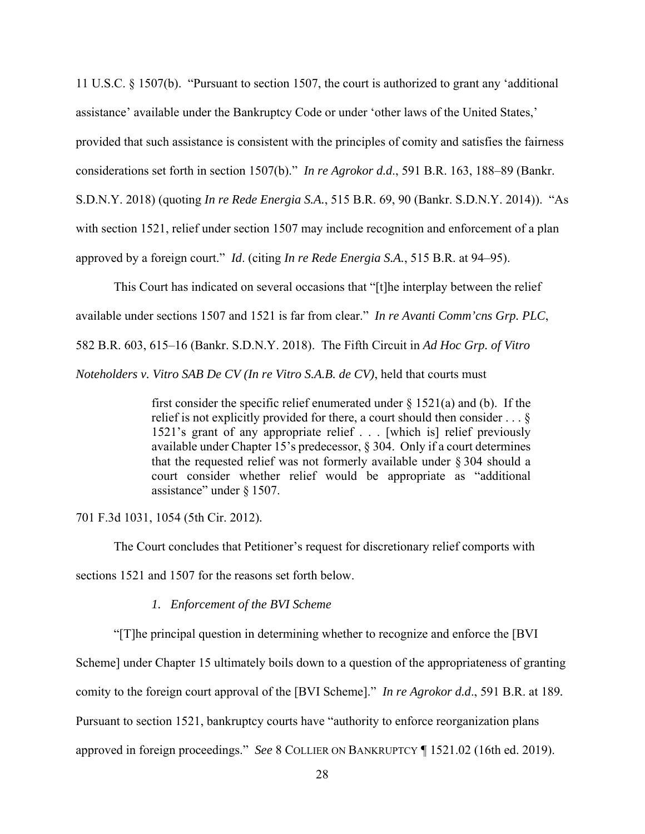11 U.S.C. § 1507(b). "Pursuant to section 1507, the court is authorized to grant any 'additional assistance' available under the Bankruptcy Code or under 'other laws of the United States,' provided that such assistance is consistent with the principles of comity and satisfies the fairness considerations set forth in section 1507(b)." *In re Agrokor d.d*., 591 B.R. 163, 188–89 (Bankr. S.D.N.Y. 2018) (quoting *In re Rede Energia S.A.*, 515 B.R. 69, 90 (Bankr. S.D.N.Y. 2014)). "As with section 1521, relief under section 1507 may include recognition and enforcement of a plan approved by a foreign court." *Id*. (citing *In re Rede Energia S.A.*, 515 B.R. at 94–95).

This Court has indicated on several occasions that "[t]he interplay between the relief available under sections 1507 and 1521 is far from clear." *In re Avanti Comm'cns Grp. PLC*, 582 B.R. 603, 615–16 (Bankr. S.D.N.Y. 2018). The Fifth Circuit in *Ad Hoc Grp. of Vitro Noteholders v. Vitro SAB De CV (In re Vitro S.A.B. de CV)*, held that courts must

> first consider the specific relief enumerated under  $\S$  1521(a) and (b). If the relief is not explicitly provided for there, a court should then consider . . . § 1521's grant of any appropriate relief . . . [which is] relief previously available under Chapter 15's predecessor, § 304. Only if a court determines that the requested relief was not formerly available under  $\S 304$  should a court consider whether relief would be appropriate as "additional assistance" under § 1507.

701 F.3d 1031, 1054 (5th Cir. 2012)*.*

The Court concludes that Petitioner's request for discretionary relief comports with

sections 1521 and 1507 for the reasons set forth below.

*1. Enforcement of the BVI Scheme* 

"[T]he principal question in determining whether to recognize and enforce the [BVI

Scheme] under Chapter 15 ultimately boils down to a question of the appropriateness of granting

comity to the foreign court approval of the [BVI Scheme]." *In re Agrokor d.d*., 591 B.R. at 189*.*

Pursuant to section 1521, bankruptcy courts have "authority to enforce reorganization plans

approved in foreign proceedings." *See* 8 COLLIER ON BANKRUPTCY ¶ 1521.02 (16th ed. 2019).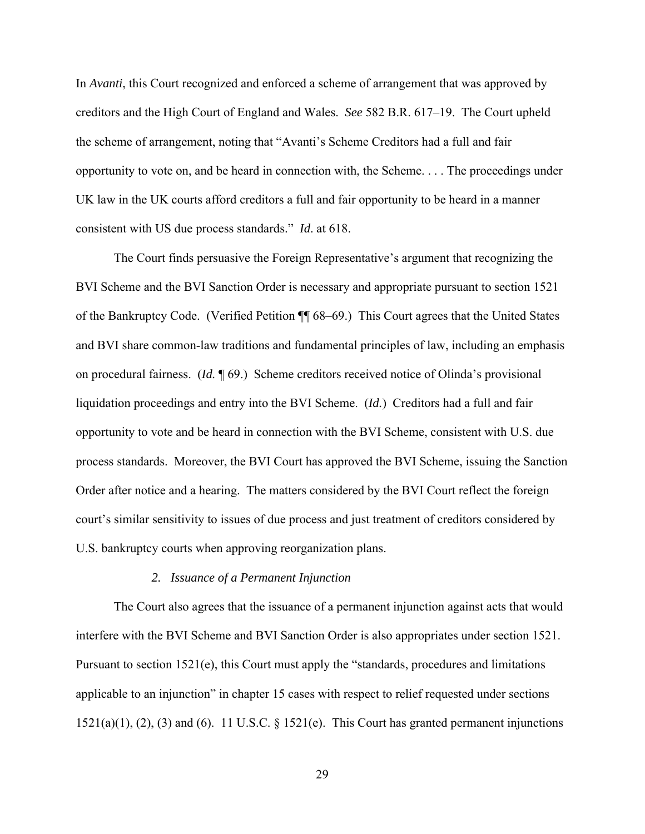In *Avanti*, this Court recognized and enforced a scheme of arrangement that was approved by creditors and the High Court of England and Wales. *See* 582 B.R. 617–19. The Court upheld the scheme of arrangement, noting that "Avanti's Scheme Creditors had a full and fair opportunity to vote on, and be heard in connection with, the Scheme. . . . The proceedings under UK law in the UK courts afford creditors a full and fair opportunity to be heard in a manner consistent with US due process standards." *Id*. at 618.

 The Court finds persuasive the Foreign Representative's argument that recognizing the BVI Scheme and the BVI Sanction Order is necessary and appropriate pursuant to section 1521 of the Bankruptcy Code. (Verified Petition ¶¶ 68–69.) This Court agrees that the United States and BVI share common-law traditions and fundamental principles of law, including an emphasis on procedural fairness. (*Id.* ¶ 69.) Scheme creditors received notice of Olinda's provisional liquidation proceedings and entry into the BVI Scheme. (*Id.*) Creditors had a full and fair opportunity to vote and be heard in connection with the BVI Scheme, consistent with U.S. due process standards. Moreover, the BVI Court has approved the BVI Scheme, issuing the Sanction Order after notice and a hearing. The matters considered by the BVI Court reflect the foreign court's similar sensitivity to issues of due process and just treatment of creditors considered by U.S. bankruptcy courts when approving reorganization plans.

## *2. Issuance of a Permanent Injunction*

The Court also agrees that the issuance of a permanent injunction against acts that would interfere with the BVI Scheme and BVI Sanction Order is also appropriates under section 1521. Pursuant to section 1521(e), this Court must apply the "standards, procedures and limitations applicable to an injunction" in chapter 15 cases with respect to relief requested under sections  $1521(a)(1)$ ,  $(2)$ ,  $(3)$  and  $(6)$ . 11 U.S.C. § 1521 $(e)$ . This Court has granted permanent injunctions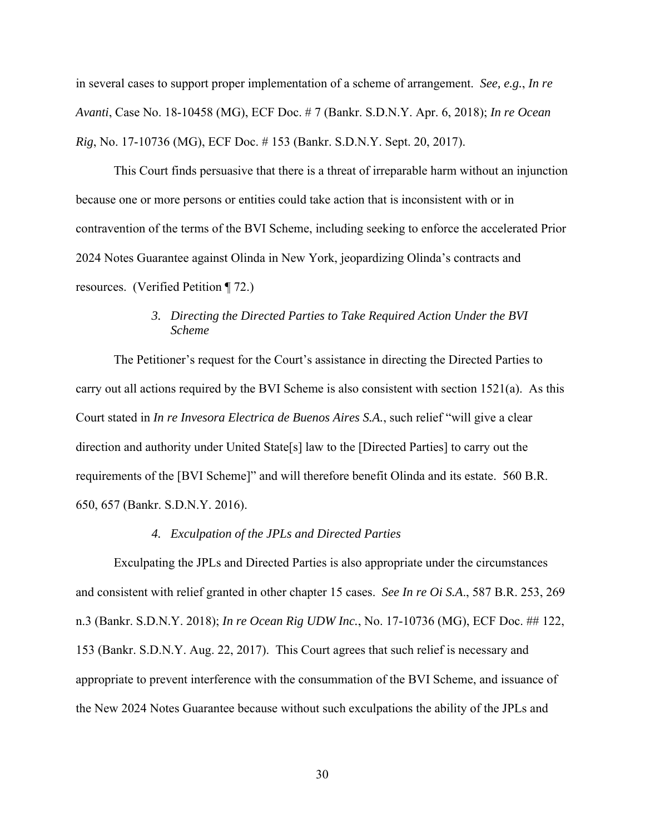in several cases to support proper implementation of a scheme of arrangement. *See, e.g.*, *In re Avanti*, Case No. 18-10458 (MG), ECF Doc. # 7 (Bankr. S.D.N.Y. Apr. 6, 2018); *In re Ocean Rig*, No. 17-10736 (MG), ECF Doc. # 153 (Bankr. S.D.N.Y. Sept. 20, 2017).

This Court finds persuasive that there is a threat of irreparable harm without an injunction because one or more persons or entities could take action that is inconsistent with or in contravention of the terms of the BVI Scheme, including seeking to enforce the accelerated Prior 2024 Notes Guarantee against Olinda in New York, jeopardizing Olinda's contracts and resources. (Verified Petition ¶ 72.)

# *3. Directing the Directed Parties to Take Required Action Under the BVI Scheme*

The Petitioner's request for the Court's assistance in directing the Directed Parties to carry out all actions required by the BVI Scheme is also consistent with section 1521(a). As this Court stated in *In re Invesora Electrica de Buenos Aires S.A.*, such relief "will give a clear direction and authority under United State[s] law to the [Directed Parties] to carry out the requirements of the [BVI Scheme]" and will therefore benefit Olinda and its estate. 560 B.R. 650, 657 (Bankr. S.D.N.Y. 2016).

### *4. Exculpation of the JPLs and Directed Parties*

Exculpating the JPLs and Directed Parties is also appropriate under the circumstances and consistent with relief granted in other chapter 15 cases. *See In re Oi S.A*., 587 B.R. 253, 269 n.3 (Bankr. S.D.N.Y. 2018); *In re Ocean Rig UDW Inc.*, No. 17-10736 (MG), ECF Doc. ## 122, 153 (Bankr. S.D.N.Y. Aug. 22, 2017). This Court agrees that such relief is necessary and appropriate to prevent interference with the consummation of the BVI Scheme, and issuance of the New 2024 Notes Guarantee because without such exculpations the ability of the JPLs and